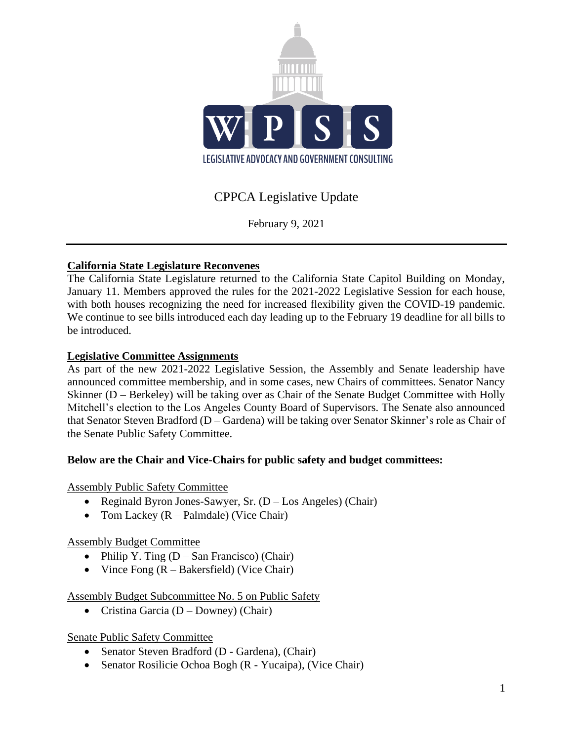

# CPPCA Legislative Update

February 9, 2021

# **California State Legislature Reconvenes**

The California State Legislature returned to the California State Capitol Building on Monday, January 11. Members approved the rules for the 2021-2022 Legislative Session for each house, with both houses recognizing the need for increased flexibility given the COVID-19 pandemic. We continue to see bills introduced each day leading up to the February 19 deadline for all bills to be introduced.

## **Legislative Committee Assignments**

As part of the new 2021-2022 Legislative Session, the Assembly and Senate leadership have announced committee membership, and in some cases, new Chairs of committees. Senator Nancy Skinner (D – Berkeley) will be taking over as Chair of the Senate Budget Committee with Holly Mitchell's election to the Los Angeles County Board of Supervisors. The Senate also announced that Senator Steven Bradford (D – Gardena) will be taking over Senator Skinner's role as Chair of the Senate Public Safety Committee.

## **Below are the Chair and Vice-Chairs for public safety and budget committees:**

## Assembly Public Safety Committee

- Reginald Byron Jones-Sawyer, Sr. (D Los Angeles) (Chair)
- Tom Lackey  $(R \text{Palmdale})$  (Vice Chair)

## Assembly Budget Committee

- Philip Y. Ting  $(D San Francisco)$  (Chair)
- Vince Fong  $(R Bakersfield)$  (Vice Chair)

#### Assembly Budget Subcommittee No. 5 on Public Safety

• Cristina Garcia ( $D - Downey$ ) (Chair)

#### Senate Public Safety Committee

- Senator Steven Bradford (D Gardena), (Chair)
- Senator Rosilicie Ochoa Bogh (R Yucaipa), (Vice Chair)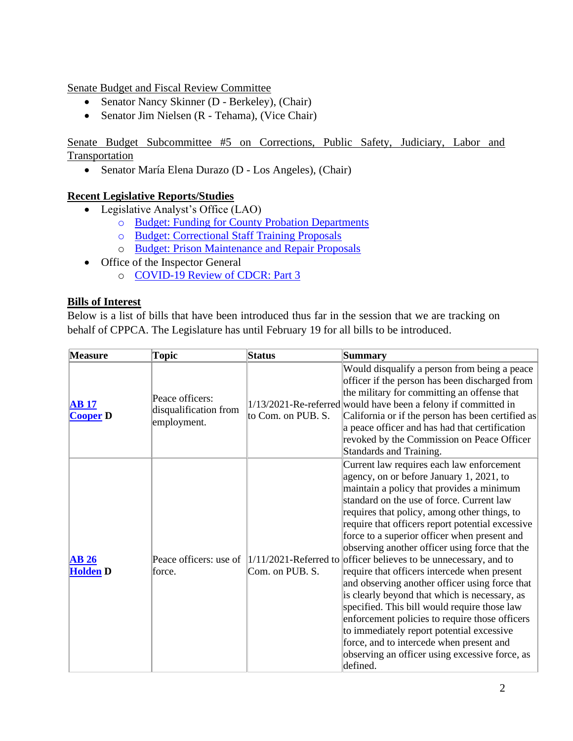Senate Budget and Fiscal Review Committee

- Senator Nancy Skinner (D Berkeley), (Chair)
- Senator Jim Nielsen (R Tehama), (Vice Chair)

Senate Budget Subcommittee #5 on Corrections, Public Safety, Judiciary, Labor and Transportation

• Senator María Elena Durazo (D - Los Angeles), (Chair)

#### **Recent Legislative Reports/Studies**

- Legislative Analyst's Office (LAO)
	- o [Budget: Funding for County Probation Departments](https://lao.ca.gov/handouts/crimjust/2021/2021-22-Budget-Funding-for-County-Probation-Departments-020221.pdf)
	- o [Budget: Correctional Staff Training Proposals](https://lao.ca.gov/handouts/crimjust/2021/2021-22-Budget-Correctional-Staff-Training-Proposals-020221.pdf)
	- o [Budget: Prison Maintenance and Repair Proposals](https://lao.ca.gov/handouts/crimjust/2021/2020-21-Budget-Prison-Maintenance-and-Repair-Proposals-020221.pdf)
- Office of the Inspector General
	- o [COVID-19 Review of CDCR: Part 3](https://www.oig.ca.gov/wp-content/uploads/2021/02/OIG-COVID-19-Review-Series-Part-3-%E2%80%93-Transfer-of-Patients-from-CIM.pdf)

#### **Bills of Interest**

Below is a list of bills that have been introduced thus far in the session that we are tracking on behalf of CPPCA. The Legislature has until February 19 for all bills to be introduced.

| <b>Measure</b>          | Topic                                                   | <b>Status</b>      | Summary                                                                                                                                                                                                                                                                                                                                                                                                                                                                                                                                                                                                                                                                                                                                                                                                                                                                                                      |
|-------------------------|---------------------------------------------------------|--------------------|--------------------------------------------------------------------------------------------------------------------------------------------------------------------------------------------------------------------------------------------------------------------------------------------------------------------------------------------------------------------------------------------------------------------------------------------------------------------------------------------------------------------------------------------------------------------------------------------------------------------------------------------------------------------------------------------------------------------------------------------------------------------------------------------------------------------------------------------------------------------------------------------------------------|
| AB17<br><b>Cooper D</b> | Peace officers:<br>disqualification from<br>employment. | to Com. on PUB. S. | Would disqualify a person from being a peace<br>officer if the person has been discharged from<br>the military for committing an offense that<br>$1/13/2021$ -Re-referred would have been a felony if committed in<br>California or if the person has been certified as<br>a peace officer and has had that certification<br>revoked by the Commission on Peace Officer<br>Standards and Training.                                                                                                                                                                                                                                                                                                                                                                                                                                                                                                           |
| AB26<br><b>Holden D</b> | force.                                                  | Com. on PUB. S.    | Current law requires each law enforcement<br>agency, on or before January 1, 2021, to<br>maintain a policy that provides a minimum<br>standard on the use of force. Current law<br>requires that policy, among other things, to<br>require that officers report potential excessive<br>force to a superior officer when present and<br>observing another officer using force that the<br>Peace officers: use of $\left 1/11/2021\right $ -Referred to officer believes to be unnecessary, and to<br>require that officers intercede when present<br>and observing another officer using force that<br>is clearly beyond that which is necessary, as<br>specified. This bill would require those law<br>enforcement policies to require those officers<br>to immediately report potential excessive<br>force, and to intercede when present and<br>observing an officer using excessive force, as<br>defined. |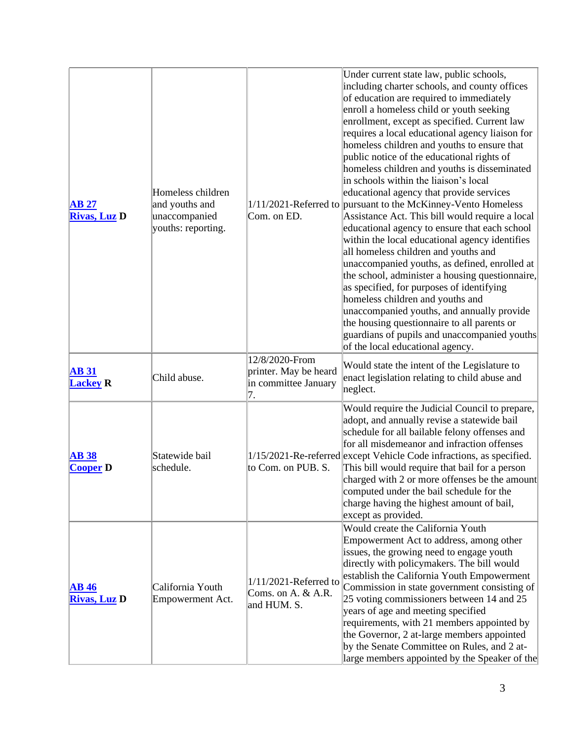| AB 27<br><b>Rivas, Luz D</b>        | Homeless children<br>and youths and<br>unaccompanied<br>youths: reporting. | Com. on ED.                                                           | Under current state law, public schools,<br>including charter schools, and county offices<br>of education are required to immediately<br>enroll a homeless child or youth seeking<br>enrollment, except as specified. Current law<br>requires a local educational agency liaison for<br>homeless children and youths to ensure that<br>public notice of the educational rights of<br>homeless children and youths is disseminated<br>in schools within the liaison's local<br>educational agency that provide services<br>1/11/2021-Referred to pursuant to the McKinney-Vento Homeless<br>Assistance Act. This bill would require a local<br>educational agency to ensure that each school<br>within the local educational agency identifies<br>all homeless children and youths and<br>unaccompanied youths, as defined, enrolled at<br>the school, administer a housing questionnaire,<br>as specified, for purposes of identifying<br>homeless children and youths and<br>unaccompanied youths, and annually provide<br>the housing questionnaire to all parents or<br>guardians of pupils and unaccompanied youths<br>of the local educational agency. |
|-------------------------------------|----------------------------------------------------------------------------|-----------------------------------------------------------------------|-------------------------------------------------------------------------------------------------------------------------------------------------------------------------------------------------------------------------------------------------------------------------------------------------------------------------------------------------------------------------------------------------------------------------------------------------------------------------------------------------------------------------------------------------------------------------------------------------------------------------------------------------------------------------------------------------------------------------------------------------------------------------------------------------------------------------------------------------------------------------------------------------------------------------------------------------------------------------------------------------------------------------------------------------------------------------------------------------------------------------------------------------------------|
| <b>AB 31</b><br><b>Lackey R</b>     | Child abuse.                                                               | 12/8/2020-From<br>printer. May be heard<br>in committee January<br>7. | Would state the intent of the Legislature to<br>enact legislation relating to child abuse and<br>neglect.                                                                                                                                                                                                                                                                                                                                                                                                                                                                                                                                                                                                                                                                                                                                                                                                                                                                                                                                                                                                                                                   |
| <b>AB38</b><br><b>Cooper D</b>      | Statewide bail<br>schedule.                                                | to Com. on PUB. S.                                                    | Would require the Judicial Council to prepare,<br>adopt, and annually revise a statewide bail<br>schedule for all bailable felony offenses and<br>for all misdemeanor and infraction offenses<br>1/15/2021-Re-referred except Vehicle Code infractions, as specified.<br>This bill would require that bail for a person<br>charged with 2 or more offenses be the amount<br>computed under the bail schedule for the<br>charge having the highest amount of bail,<br>except as provided.                                                                                                                                                                                                                                                                                                                                                                                                                                                                                                                                                                                                                                                                    |
| <b>AB</b> 46<br><b>Rivas, Luz D</b> | California Youth<br>Empowerment Act.                                       | $1/11/2021$ -Referred to<br>Coms. on A. & A.R.<br>and HUM. S.         | Would create the California Youth<br>Empowerment Act to address, among other<br>issues, the growing need to engage youth<br>directly with policymakers. The bill would<br>establish the California Youth Empowerment<br>Commission in state government consisting of<br>25 voting commissioners between 14 and 25<br>years of age and meeting specified<br>requirements, with 21 members appointed by<br>the Governor, 2 at-large members appointed<br>by the Senate Committee on Rules, and 2 at-<br>large members appointed by the Speaker of the                                                                                                                                                                                                                                                                                                                                                                                                                                                                                                                                                                                                         |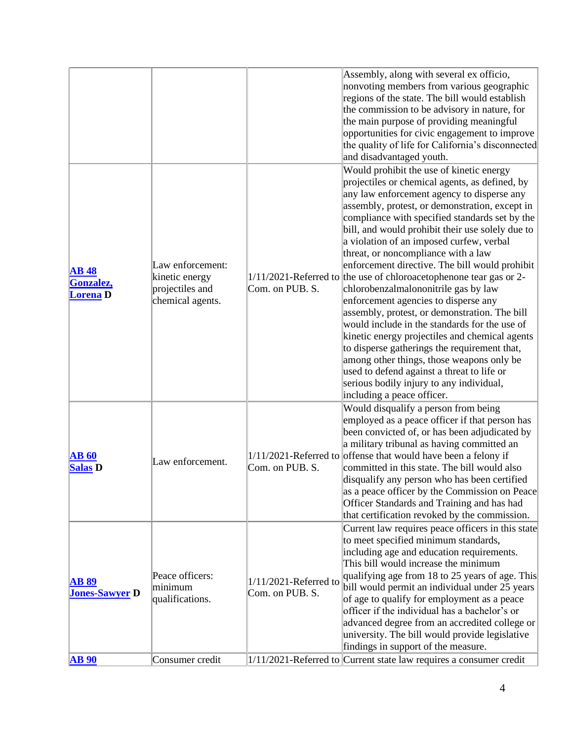|                       |                  |                          | Assembly, along with several ex officio,                              |
|-----------------------|------------------|--------------------------|-----------------------------------------------------------------------|
|                       |                  |                          | nonvoting members from various geographic                             |
|                       |                  |                          | regions of the state. The bill would establish                        |
|                       |                  |                          | the commission to be advisory in nature, for                          |
|                       |                  |                          |                                                                       |
|                       |                  |                          | the main purpose of providing meaningful                              |
|                       |                  |                          | opportunities for civic engagement to improve                         |
|                       |                  |                          | the quality of life for California's disconnected                     |
|                       |                  |                          | and disadvantaged youth.                                              |
|                       |                  |                          | Would prohibit the use of kinetic energy                              |
|                       |                  |                          | projectiles or chemical agents, as defined, by                        |
|                       |                  |                          | any law enforcement agency to disperse any                            |
|                       |                  |                          | assembly, protest, or demonstration, except in                        |
|                       |                  |                          | compliance with specified standards set by the                        |
|                       |                  |                          | bill, and would prohibit their use solely due to                      |
|                       |                  |                          | a violation of an imposed curfew, verbal                              |
|                       |                  |                          | threat, or noncompliance with a law                                   |
|                       | Law enforcement: |                          | enforcement directive. The bill would prohibit                        |
| <b>AB</b> 48          | kinetic energy   |                          | $1/11/2021$ -Referred to the use of chloroacetophenone tear gas or 2- |
| Gonzalez,             | projectiles and  | Com. on PUB. S.          | chlorobenzalmalononitrile gas by law                                  |
| <b>Lorena</b> D       | chemical agents. |                          | enforcement agencies to disperse any                                  |
|                       |                  |                          | assembly, protest, or demonstration. The bill                         |
|                       |                  |                          | would include in the standards for the use of                         |
|                       |                  |                          | kinetic energy projectiles and chemical agents                        |
|                       |                  |                          | to disperse gatherings the requirement that,                          |
|                       |                  |                          | among other things, those weapons only be                             |
|                       |                  |                          | used to defend against a threat to life or                            |
|                       |                  |                          | serious bodily injury to any individual,                              |
|                       |                  |                          | including a peace officer.                                            |
|                       |                  |                          | Would disqualify a person from being                                  |
|                       |                  |                          | employed as a peace officer if that person has                        |
|                       |                  |                          | been convicted of, or has been adjudicated by                         |
|                       |                  |                          | a military tribunal as having committed an                            |
|                       |                  |                          | $1/11/2021$ -Referred to offense that would have been a felony if     |
| <b>AB 60</b>          | Law enforcement. |                          | committed in this state. The bill would also                          |
| <b>Salas D</b>        |                  | Com. on PUB. S.          |                                                                       |
|                       |                  |                          | disqualify any person who has been certified                          |
|                       |                  |                          | as a peace officer by the Commission on Peace                         |
|                       |                  |                          | Officer Standards and Training and has had                            |
|                       |                  |                          | that certification revoked by the commission.                         |
|                       |                  |                          | Current law requires peace officers in this state                     |
|                       |                  |                          | to meet specified minimum standards,                                  |
|                       |                  |                          | including age and education requirements.                             |
|                       |                  |                          | This bill would increase the minimum                                  |
| <b>AB 89</b>          | Peace officers:  | $1/11/2021$ -Referred to | qualifying age from 18 to 25 years of age. This                       |
| <b>Jones-Sawyer D</b> | minimum          | Com. on PUB. S.          | bill would permit an individual under 25 years                        |
|                       | qualifications.  |                          | of age to qualify for employment as a peace                           |
|                       |                  |                          | officer if the individual has a bachelor's or                         |
|                       |                  |                          | advanced degree from an accredited college or                         |
|                       |                  |                          | university. The bill would provide legislative                        |
|                       |                  |                          | findings in support of the measure.                                   |
| <b>AB</b> 90          | Consumer credit  |                          | $1/11/2021$ -Referred to Current state law requires a consumer credit |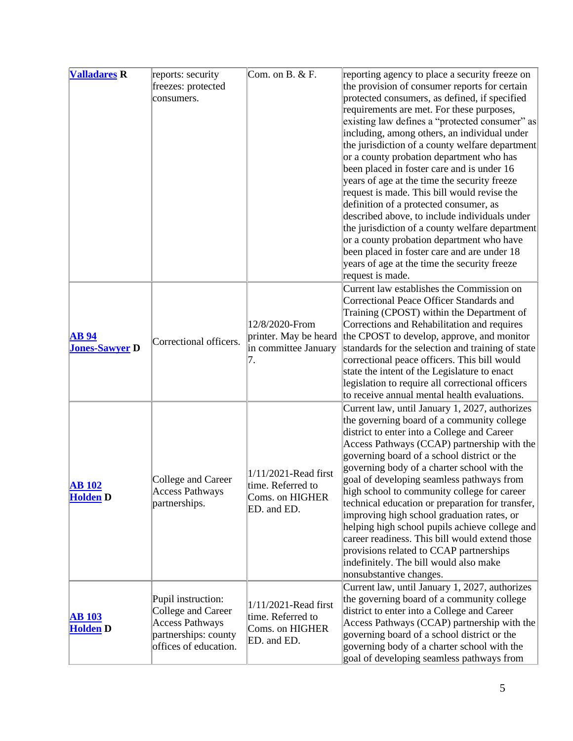| <b>Valladares R</b>   | reports: security      | Com. on $B. & F.$                       | reporting agency to place a security freeze on    |
|-----------------------|------------------------|-----------------------------------------|---------------------------------------------------|
|                       | freezes: protected     |                                         | the provision of consumer reports for certain     |
|                       | consumers.             |                                         | protected consumers, as defined, if specified     |
|                       |                        |                                         | requirements are met. For these purposes,         |
|                       |                        |                                         | existing law defines a "protected consumer" as    |
|                       |                        |                                         | including, among others, an individual under      |
|                       |                        |                                         | the jurisdiction of a county welfare department   |
|                       |                        |                                         | or a county probation department who has          |
|                       |                        |                                         | been placed in foster care and is under 16        |
|                       |                        |                                         | years of age at the time the security freeze      |
|                       |                        |                                         | request is made. This bill would revise the       |
|                       |                        |                                         | definition of a protected consumer, as            |
|                       |                        |                                         | described above, to include individuals under     |
|                       |                        |                                         | the jurisdiction of a county welfare department   |
|                       |                        |                                         | or a county probation department who have         |
|                       |                        |                                         | been placed in foster care and are under 18       |
|                       |                        |                                         | years of age at the time the security freeze      |
|                       |                        |                                         | request is made.                                  |
|                       |                        |                                         | Current law establishes the Commission on         |
|                       |                        |                                         | Correctional Peace Officer Standards and          |
|                       |                        | 12/8/2020-From<br>printer. May be heard | Training (CPOST) within the Department of         |
|                       |                        |                                         | Corrections and Rehabilitation and requires       |
| <b>AB</b> 94          |                        |                                         | the CPOST to develop, approve, and monitor        |
| <b>Jones-Sawyer D</b> | Correctional officers. | in committee January                    | standards for the selection and training of state |
|                       |                        | 7.                                      | correctional peace officers. This bill would      |
|                       |                        |                                         | state the intent of the Legislature to enact      |
|                       |                        |                                         | legislation to require all correctional officers  |
|                       |                        |                                         | to receive annual mental health evaluations.      |
|                       |                        |                                         | Current law, until January 1, 2027, authorizes    |
|                       |                        |                                         | the governing board of a community college        |
|                       |                        |                                         | district to enter into a College and Career       |
|                       |                        |                                         | Access Pathways (CCAP) partnership with the       |
|                       |                        |                                         | governing board of a school district or the       |
|                       |                        | 1/11/2021-Read first                    | governing body of a charter school with the       |
| <b>AB</b> 102         | College and Career     | time. Referred to                       | goal of developing seamless pathways from         |
| <b>Holden</b> D       | Access Pathways        | Coms. on HIGHER                         | high school to community college for career       |
|                       | partnerships.          | ED. and ED.                             | technical education or preparation for transfer,  |
|                       |                        |                                         | improving high school graduation rates, or        |
|                       |                        |                                         | helping high school pupils achieve college and    |
|                       |                        |                                         | career readiness. This bill would extend those    |
|                       |                        |                                         | provisions related to CCAP partnerships           |
|                       |                        |                                         | indefinitely. The bill would also make            |
|                       |                        |                                         | nonsubstantive changes.                           |
|                       |                        |                                         | Current law, until January 1, 2027, authorizes    |
|                       | Pupil instruction:     | 1/11/2021-Read first                    | the governing board of a community college        |
| <b>AB</b> 103         | College and Career     | time. Referred to                       | district to enter into a College and Career       |
| <b>Holden</b> D       | <b>Access Pathways</b> | Coms. on HIGHER                         | Access Pathways (CCAP) partnership with the       |
|                       | partnerships: county   | ED. and ED.                             | governing board of a school district or the       |
|                       | offices of education.  |                                         | governing body of a charter school with the       |
|                       |                        |                                         | goal of developing seamless pathways from         |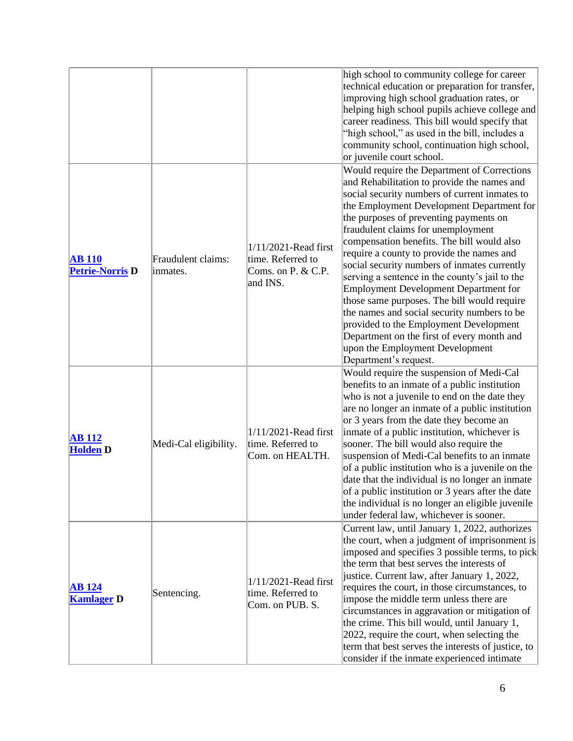|                                         |                                |                                                                                | high school to community college for career<br>technical education or preparation for transfer,<br>improving high school graduation rates, or<br>helping high school pupils achieve college and<br>career readiness. This bill would specify that<br>"high school," as used in the bill, includes a<br>community school, continuation high school,<br>or juvenile court school.                                                                                                                                                                                                                                                                                                                                                                                  |
|-----------------------------------------|--------------------------------|--------------------------------------------------------------------------------|------------------------------------------------------------------------------------------------------------------------------------------------------------------------------------------------------------------------------------------------------------------------------------------------------------------------------------------------------------------------------------------------------------------------------------------------------------------------------------------------------------------------------------------------------------------------------------------------------------------------------------------------------------------------------------------------------------------------------------------------------------------|
| <b>AB</b> 110<br><b>Petrie-Norris D</b> | Fraudulent claims:<br>inmates. | 1/11/2021-Read first<br>time. Referred to<br>Coms. on $P$ . & C.P.<br>and INS. | Would require the Department of Corrections<br>and Rehabilitation to provide the names and<br>social security numbers of current inmates to<br>the Employment Development Department for<br>the purposes of preventing payments on<br>fraudulent claims for unemployment<br>compensation benefits. The bill would also<br>require a county to provide the names and<br>social security numbers of inmates currently<br>serving a sentence in the county's jail to the<br>Employment Development Department for<br>those same purposes. The bill would require<br>the names and social security numbers to be<br>provided to the Employment Development<br>Department on the first of every month and<br>upon the Employment Development<br>Department's request. |
| <b>AB 112</b><br><b>Holden D</b>        | Medi-Cal eligibility.          | $1/11/2021$ -Read first<br>time. Referred to<br>Com. on HEALTH.                | Would require the suspension of Medi-Cal<br>benefits to an inmate of a public institution<br>who is not a juvenile to end on the date they<br>are no longer an inmate of a public institution<br>or 3 years from the date they become an<br>inmate of a public institution, whichever is<br>sooner. The bill would also require the<br>suspension of Medi-Cal benefits to an inmate<br>of a public institution who is a juvenile on the<br>date that the individual is no longer an inmate<br>of a public institution or 3 years after the date<br>the individual is no longer an eligible juvenile<br>under federal law, whichever is sooner.                                                                                                                   |
| <b>AB</b> 124<br><b>Kamlager D</b>      | Sentencing.                    | 1/11/2021-Read first<br>time. Referred to<br>Com. on PUB. S.                   | Current law, until January 1, 2022, authorizes<br>the court, when a judgment of imprisonment is<br>imposed and specifies 3 possible terms, to pick<br>the term that best serves the interests of<br>justice. Current law, after January 1, 2022,<br>requires the court, in those circumstances, to<br>impose the middle term unless there are<br>circumstances in aggravation or mitigation of<br>the crime. This bill would, until January 1,<br>2022, require the court, when selecting the<br>term that best serves the interests of justice, to<br>consider if the inmate experienced intimate                                                                                                                                                               |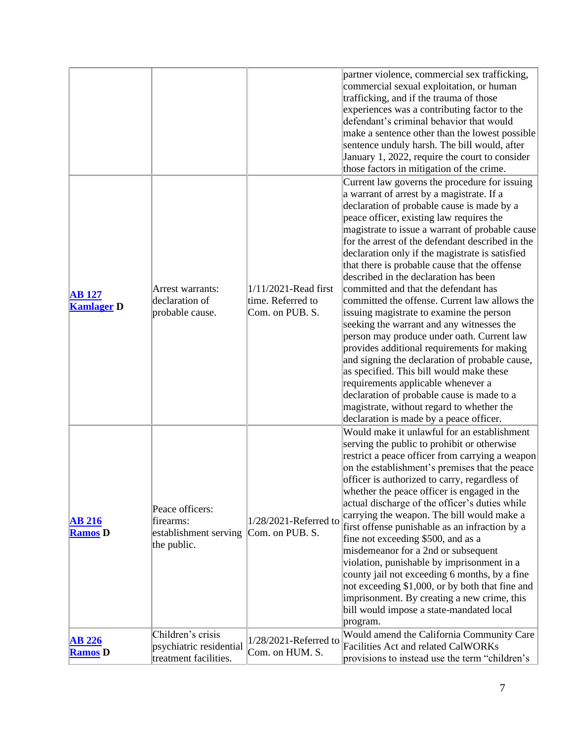|                                    |                                                                       |                                                                 | partner violence, commercial sex trafficking,<br>commercial sexual exploitation, or human<br>trafficking, and if the trauma of those<br>experiences was a contributing factor to the<br>defendant's criminal behavior that would<br>make a sentence other than the lowest possible<br>sentence unduly harsh. The bill would, after<br>January 1, 2022, require the court to consider<br>those factors in mitigation of the crime.                                                                                                                                                                                                                                                                                                                                                                                                                                                                                                                                                                 |
|------------------------------------|-----------------------------------------------------------------------|-----------------------------------------------------------------|---------------------------------------------------------------------------------------------------------------------------------------------------------------------------------------------------------------------------------------------------------------------------------------------------------------------------------------------------------------------------------------------------------------------------------------------------------------------------------------------------------------------------------------------------------------------------------------------------------------------------------------------------------------------------------------------------------------------------------------------------------------------------------------------------------------------------------------------------------------------------------------------------------------------------------------------------------------------------------------------------|
| <b>AB</b> 127<br><b>Kamlager D</b> | Arrest warrants:<br>declaration of<br>probable cause.                 | $1/11/2021$ -Read first<br>time. Referred to<br>Com. on PUB. S. | Current law governs the procedure for issuing<br>a warrant of arrest by a magistrate. If a<br>declaration of probable cause is made by a<br>peace officer, existing law requires the<br>magistrate to issue a warrant of probable cause<br>for the arrest of the defendant described in the<br>declaration only if the magistrate is satisfied<br>that there is probable cause that the offense<br>described in the declaration has been<br>committed and that the defendant has<br>committed the offense. Current law allows the<br>issuing magistrate to examine the person<br>seeking the warrant and any witnesses the<br>person may produce under oath. Current law<br>provides additional requirements for making<br>and signing the declaration of probable cause,<br>as specified. This bill would make these<br>requirements applicable whenever a<br>declaration of probable cause is made to a<br>magistrate, without regard to whether the<br>declaration is made by a peace officer. |
| <b>AB 216</b><br><b>Ramos D</b>    | Peace officers:<br>firearms:<br>establishment serving<br>the public.  | $1/28/2021$ -Referred to<br>Com. on PUB. S.                     | Would make it unlawful for an establishment<br>serving the public to prohibit or otherwise<br>restrict a peace officer from carrying a weapon<br>on the establishment's premises that the peace<br>officer is authorized to carry, regardless of<br>whether the peace officer is engaged in the<br>actual discharge of the officer's duties while<br>carrying the weapon. The bill would make a<br>first offense punishable as an infraction by a<br>fine not exceeding \$500, and as a<br>misdemeanor for a 2nd or subsequent<br>violation, punishable by imprisonment in a<br>county jail not exceeding 6 months, by a fine<br>not exceeding \$1,000, or by both that fine and<br>imprisonment. By creating a new crime, this<br>bill would impose a state-mandated local<br>program.                                                                                                                                                                                                           |
| AB 226<br><b>Ramos D</b>           | Children's crisis<br>psychiatric residential<br>treatment facilities. | $1/28/2021$ -Referred to<br>Com. on HUM. S.                     | Would amend the California Community Care<br>Facilities Act and related CalWORKs<br>provisions to instead use the term "children's                                                                                                                                                                                                                                                                                                                                                                                                                                                                                                                                                                                                                                                                                                                                                                                                                                                                |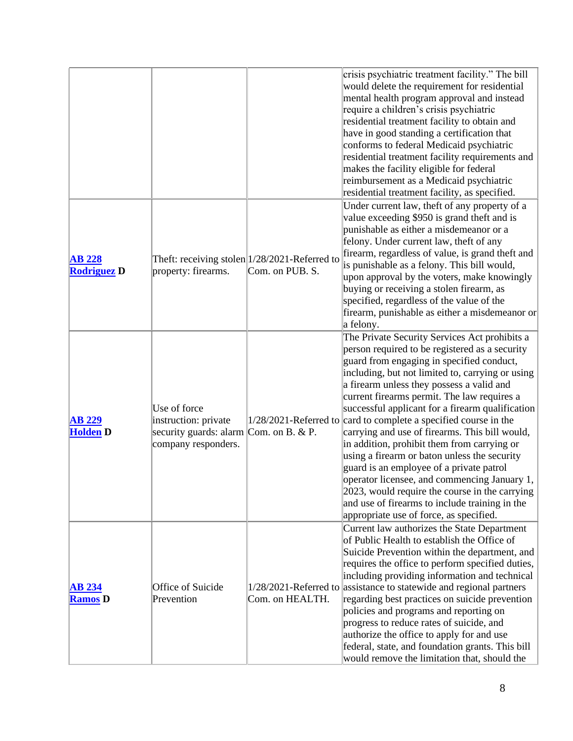|                                     |                                                                                                       |                                                                   | crisis psychiatric treatment facility." The bill<br>would delete the requirement for residential<br>mental health program approval and instead<br>require a children's crisis psychiatric<br>residential treatment facility to obtain and<br>have in good standing a certification that<br>conforms to federal Medicaid psychiatric<br>residential treatment facility requirements and<br>makes the facility eligible for federal<br>reimbursement as a Medicaid psychiatric<br>residential treatment facility, as specified.                                                                                                                                                                                                                                                                               |
|-------------------------------------|-------------------------------------------------------------------------------------------------------|-------------------------------------------------------------------|-------------------------------------------------------------------------------------------------------------------------------------------------------------------------------------------------------------------------------------------------------------------------------------------------------------------------------------------------------------------------------------------------------------------------------------------------------------------------------------------------------------------------------------------------------------------------------------------------------------------------------------------------------------------------------------------------------------------------------------------------------------------------------------------------------------|
| <b>AB 228</b><br><b>Rodriguez D</b> | property: firearms.                                                                                   | Theft: receiving stolen  1/28/2021-Referred to<br>Com. on PUB. S. | Under current law, theft of any property of a<br>value exceeding \$950 is grand theft and is<br>punishable as either a misdemeanor or a<br>felony. Under current law, theft of any<br>firearm, regardless of value, is grand theft and<br>is punishable as a felony. This bill would,<br>upon approval by the voters, make knowingly<br>buying or receiving a stolen firearm, as<br>specified, regardless of the value of the<br>firearm, punishable as either a misdemeanor or<br>a felony.                                                                                                                                                                                                                                                                                                                |
| <b>AB 229</b><br><b>Holden D</b>    | Use of force<br>instruction: private<br>security guards: alarm Com. on B. & P.<br>company responders. |                                                                   | The Private Security Services Act prohibits a<br>person required to be registered as a security<br>guard from engaging in specified conduct,<br>including, but not limited to, carrying or using<br>a firearm unless they possess a valid and<br>current firearms permit. The law requires a<br>successful applicant for a firearm qualification<br>$1/28/2021$ -Referred to complete a specified course in the<br>carrying and use of firearms. This bill would,<br>in addition, prohibit them from carrying or<br>using a firearm or baton unless the security<br>guard is an employee of a private patrol<br>operator licensee, and commencing January 1,<br>2023, would require the course in the carrying<br>and use of firearms to include training in the<br>appropriate use of force, as specified. |
| <b>AB 234</b><br><b>Ramos</b> D     | Office of Suicide<br>Prevention                                                                       | Com. on HEALTH.                                                   | Current law authorizes the State Department<br>of Public Health to establish the Office of<br>Suicide Prevention within the department, and<br>requires the office to perform specified duties,<br>including providing information and technical<br>1/28/2021-Referred to assistance to statewide and regional partners<br>regarding best practices on suicide prevention<br>policies and programs and reporting on<br>progress to reduce rates of suicide, and<br>authorize the office to apply for and use<br>federal, state, and foundation grants. This bill<br>would remove the limitation that, should the                                                                                                                                                                                            |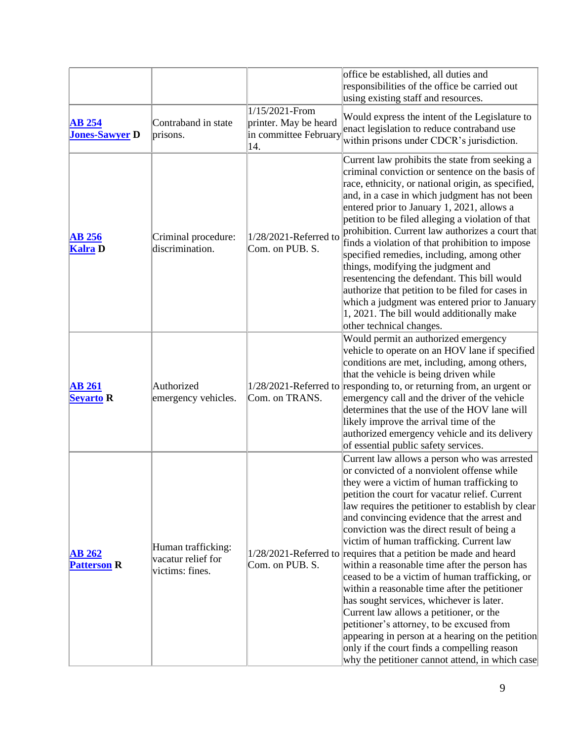|                                        |                                                             |                                                                         | office be established, all duties and<br>responsibilities of the office be carried out<br>using existing staff and resources.                                                                                                                                                                                                                                                                                                                                                                                                                                                                                                                                                                                                                                                                                                                                                                                  |
|----------------------------------------|-------------------------------------------------------------|-------------------------------------------------------------------------|----------------------------------------------------------------------------------------------------------------------------------------------------------------------------------------------------------------------------------------------------------------------------------------------------------------------------------------------------------------------------------------------------------------------------------------------------------------------------------------------------------------------------------------------------------------------------------------------------------------------------------------------------------------------------------------------------------------------------------------------------------------------------------------------------------------------------------------------------------------------------------------------------------------|
| <b>AB 254</b><br><b>Jones-Sawyer D</b> | Contraband in state<br>prisons.                             | 1/15/2021-From<br>printer. May be heard<br>in committee February<br>14. | Would express the intent of the Legislature to<br>enact legislation to reduce contraband use<br>within prisons under CDCR's jurisdiction.                                                                                                                                                                                                                                                                                                                                                                                                                                                                                                                                                                                                                                                                                                                                                                      |
| $AB$ 256<br><b>Kalra</b> D             | Criminal procedure:<br>discrimination.                      | $1/28/2021$ -Referred to<br>Com. on PUB. S.                             | Current law prohibits the state from seeking a<br>criminal conviction or sentence on the basis of<br>race, ethnicity, or national origin, as specified,<br>and, in a case in which judgment has not been<br>entered prior to January 1, 2021, allows a<br>petition to be filed alleging a violation of that<br>prohibition. Current law authorizes a court that<br>finds a violation of that prohibition to impose<br>specified remedies, including, among other<br>things, modifying the judgment and<br>resentencing the defendant. This bill would<br>authorize that petition to be filed for cases in<br>which a judgment was entered prior to January<br>1, 2021. The bill would additionally make<br>other technical changes.                                                                                                                                                                            |
| <b>AB 261</b><br><b>Seyarto R</b>      | Authorized<br>emergency vehicles.                           | Com. on TRANS.                                                          | Would permit an authorized emergency<br>vehicle to operate on an HOV lane if specified<br>conditions are met, including, among others,<br>that the vehicle is being driven while<br>$1/28/2021$ -Referred to responding to, or returning from, an urgent or<br>emergency call and the driver of the vehicle<br>determines that the use of the HOV lane will<br>likely improve the arrival time of the<br>authorized emergency vehicle and its delivery<br>of essential public safety services.                                                                                                                                                                                                                                                                                                                                                                                                                 |
| <b>AB 262</b><br><b>Patterson R</b>    | Human trafficking:<br>vacatur relief for<br>victims: fines. | Com. on PUB. S.                                                         | Current law allows a person who was arrested<br>or convicted of a nonviolent offense while<br>they were a victim of human trafficking to<br>petition the court for vacatur relief. Current<br>law requires the petitioner to establish by clear<br>and convincing evidence that the arrest and<br>conviction was the direct result of being a<br>victim of human trafficking. Current law<br>$1/28/2021$ -Referred to requires that a petition be made and heard<br>within a reasonable time after the person has<br>ceased to be a victim of human trafficking, or<br>within a reasonable time after the petitioner<br>has sought services, whichever is later.<br>Current law allows a petitioner, or the<br>petitioner's attorney, to be excused from<br>appearing in person at a hearing on the petition<br>only if the court finds a compelling reason<br>why the petitioner cannot attend, in which case |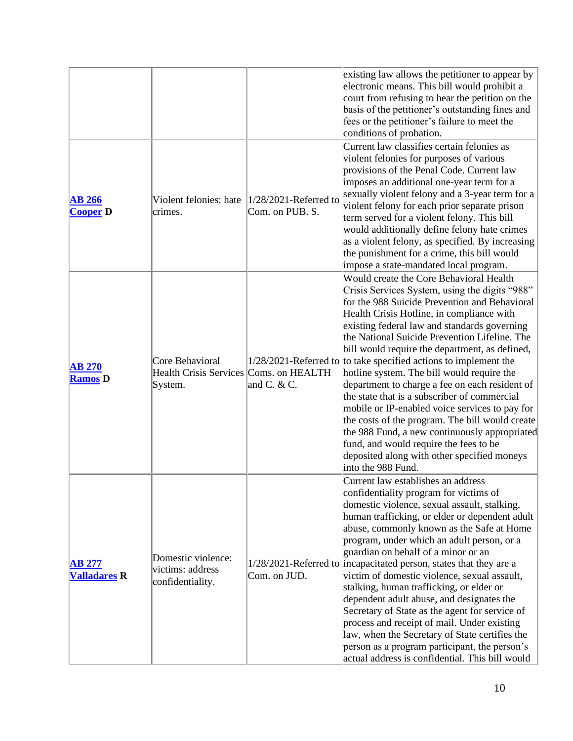|                                      |                                                                      |                                             | existing law allows the petitioner to appear by<br>electronic means. This bill would prohibit a<br>court from refusing to hear the petition on the<br>basis of the petitioner's outstanding fines and<br>fees or the petitioner's failure to meet the<br>conditions of probation.                                                                                                                                                                                                                                                                                                                                                                                                                                                                                                                                                      |
|--------------------------------------|----------------------------------------------------------------------|---------------------------------------------|----------------------------------------------------------------------------------------------------------------------------------------------------------------------------------------------------------------------------------------------------------------------------------------------------------------------------------------------------------------------------------------------------------------------------------------------------------------------------------------------------------------------------------------------------------------------------------------------------------------------------------------------------------------------------------------------------------------------------------------------------------------------------------------------------------------------------------------|
| <b>AB 266</b><br><b>Cooper D</b>     | Violent felonies: hate<br>crimes.                                    | $1/28/2021$ -Referred to<br>Com. on PUB. S. | Current law classifies certain felonies as<br>violent felonies for purposes of various<br>provisions of the Penal Code. Current law<br>imposes an additional one-year term for a<br>sexually violent felony and a 3-year term for a<br>violent felony for each prior separate prison<br>term served for a violent felony. This bill<br>would additionally define felony hate crimes<br>as a violent felony, as specified. By increasing<br>the punishment for a crime, this bill would<br>impose a state-mandated local program.                                                                                                                                                                                                                                                                                                       |
| <b>AB 270</b><br><b>Ramos</b> D      | Core Behavioral<br>Health Crisis Services Coms. on HEALTH<br>System. | and C. $&$ C.                               | Would create the Core Behavioral Health<br>Crisis Services System, using the digits "988"<br>for the 988 Suicide Prevention and Behavioral<br>Health Crisis Hotline, in compliance with<br>existing federal law and standards governing<br>the National Suicide Prevention Lifeline. The<br>bill would require the department, as defined,<br>$1/28/2021$ -Referred to to take specified actions to implement the<br>hotline system. The bill would require the<br>department to charge a fee on each resident of<br>the state that is a subscriber of commercial<br>mobile or IP-enabled voice services to pay for<br>the costs of the program. The bill would create<br>the 988 Fund, a new continuously appropriated<br>fund, and would require the fees to be<br>deposited along with other specified moneys<br>into the 988 Fund. |
| <b>AB 277</b><br><b>Valladares R</b> | Domestic violence:<br>victims: address<br>confidentiality.           | Com. on JUD.                                | Current law establishes an address<br>confidentiality program for victims of<br>domestic violence, sexual assault, stalking,<br>human trafficking, or elder or dependent adult<br>abuse, commonly known as the Safe at Home<br>program, under which an adult person, or a<br>guardian on behalf of a minor or an<br>1/28/2021-Referred to incapacitated person, states that they are a<br>victim of domestic violence, sexual assault,<br>stalking, human trafficking, or elder or<br>dependent adult abuse, and designates the<br>Secretary of State as the agent for service of<br>process and receipt of mail. Under existing<br>law, when the Secretary of State certifies the<br>person as a program participant, the person's<br>actual address is confidential. This bill would                                                 |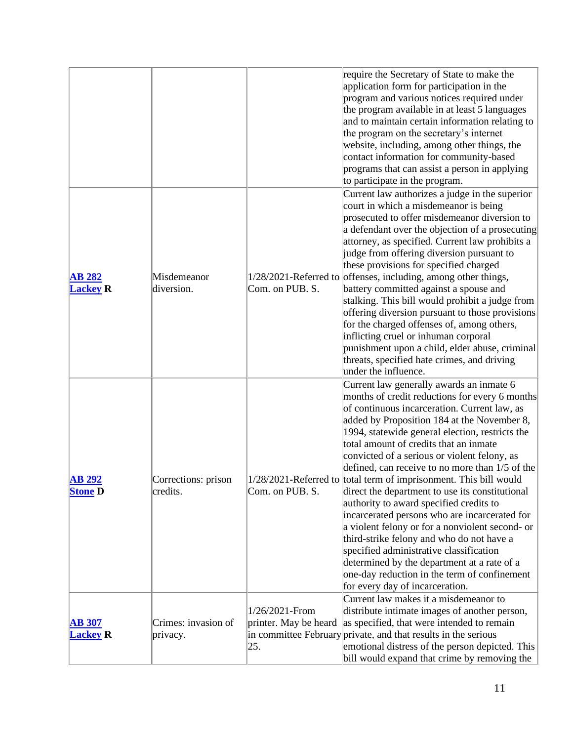|                                  |                                 | require the Secretary of State to make the<br>application form for participation in the<br>program and various notices required under<br>the program available in at least 5 languages<br>and to maintain certain information relating to<br>the program on the secretary's internet<br>website, including, among other things, the<br>contact information for community-based<br>programs that can assist a person in applying<br>to participate in the program.                                                                                                                                                                                                                                                                                                                                                                                                                                                |
|----------------------------------|---------------------------------|------------------------------------------------------------------------------------------------------------------------------------------------------------------------------------------------------------------------------------------------------------------------------------------------------------------------------------------------------------------------------------------------------------------------------------------------------------------------------------------------------------------------------------------------------------------------------------------------------------------------------------------------------------------------------------------------------------------------------------------------------------------------------------------------------------------------------------------------------------------------------------------------------------------|
| <b>AB 282</b><br><b>Lackey R</b> | Misdemeanor<br>diversion.       | Current law authorizes a judge in the superior<br>court in which a misdemeanor is being<br>prosecuted to offer misdemeanor diversion to<br>a defendant over the objection of a prosecuting<br>attorney, as specified. Current law prohibits a<br>judge from offering diversion pursuant to<br>these provisions for specified charged<br>1/28/2021-Referred to offenses, including, among other things,<br>Com. on PUB. S.<br>battery committed against a spouse and<br>stalking. This bill would prohibit a judge from<br>offering diversion pursuant to those provisions<br>for the charged offenses of, among others,<br>inflicting cruel or inhuman corporal<br>punishment upon a child, elder abuse, criminal<br>threats, specified hate crimes, and driving<br>under the influence.                                                                                                                         |
| <b>AB 292</b><br><b>Stone D</b>  | Corrections: prison<br>credits. | Current law generally awards an inmate 6<br>months of credit reductions for every 6 months<br>of continuous incarceration. Current law, as<br>added by Proposition 184 at the November 8,<br>1994, statewide general election, restricts the<br>total amount of credits that an inmate<br>convicted of a serious or violent felony, as<br>defined, can receive to no more than 1/5 of the<br>$1/28/2021$ -Referred to total term of imprisonment. This bill would<br>Com. on PUB. S.<br>direct the department to use its constitutional<br>authority to award specified credits to<br>incarcerated persons who are incarcerated for<br>a violent felony or for a nonviolent second- or<br>third-strike felony and who do not have a<br>specified administrative classification<br>determined by the department at a rate of a<br>one-day reduction in the term of confinement<br>for every day of incarceration. |
| <b>AB 307</b><br><b>Lackey R</b> | Crimes: invasion of<br>privacy. | Current law makes it a misdemeanor to<br>distribute intimate images of another person,<br>1/26/2021-From<br>printer. May be heard<br>as specified, that were intended to remain<br>in committee February private, and that results in the serious<br>emotional distress of the person depicted. This<br>25.<br>bill would expand that crime by removing the                                                                                                                                                                                                                                                                                                                                                                                                                                                                                                                                                      |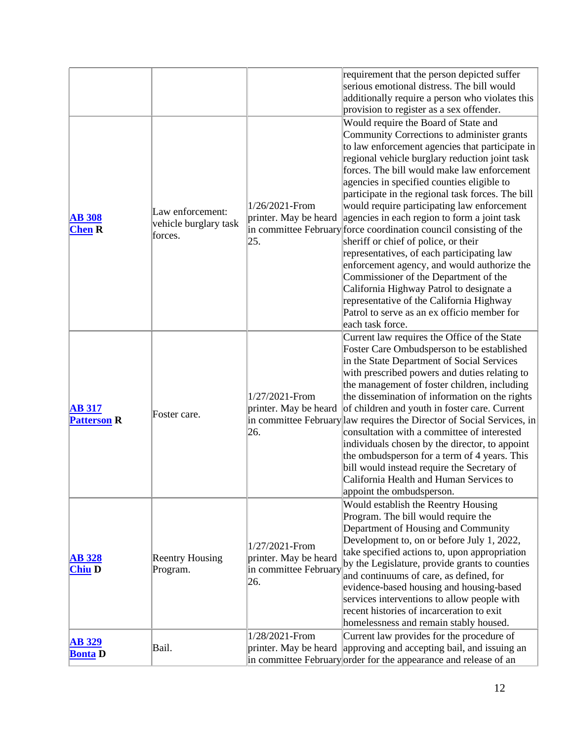| <b>AB 329</b><br><b>Bonta</b> D     | Bail.                                                |                                                                                           | printer. May be heard approving and accepting bail, and issuing an<br>in committee February order for the appearance and release of an                                                                                                                                                                                                                                                                                                                                                                                                                                                                                                                                                                                                                                                                                                                                                              |
|-------------------------------------|------------------------------------------------------|-------------------------------------------------------------------------------------------|-----------------------------------------------------------------------------------------------------------------------------------------------------------------------------------------------------------------------------------------------------------------------------------------------------------------------------------------------------------------------------------------------------------------------------------------------------------------------------------------------------------------------------------------------------------------------------------------------------------------------------------------------------------------------------------------------------------------------------------------------------------------------------------------------------------------------------------------------------------------------------------------------------|
| <b>AB 328</b><br><b>Chiu D</b>      | <b>Reentry Housing</b><br>Program.                   | 1/27/2021-From<br>printer. May be heard<br>in committee February<br>26.<br>1/28/2021-From | Would establish the Reentry Housing<br>Program. The bill would require the<br>Department of Housing and Community<br>Development to, on or before July 1, 2022,<br>take specified actions to, upon appropriation<br>by the Legislature, provide grants to counties<br>and continuums of care, as defined, for<br>evidence-based housing and housing-based<br>services interventions to allow people with<br>recent histories of incarceration to exit<br>homelessness and remain stably housed.<br>Current law provides for the procedure of                                                                                                                                                                                                                                                                                                                                                        |
| <b>AB 317</b><br><b>Patterson R</b> | Foster care.                                         | 1/27/2021-From<br>printer. May be heard<br>26.                                            | Current law requires the Office of the State<br>Foster Care Ombudsperson to be established<br>in the State Department of Social Services<br>with prescribed powers and duties relating to<br>the management of foster children, including<br>the dissemination of information on the rights<br>of children and youth in foster care. Current<br>in committee February law requires the Director of Social Services, in<br>consultation with a committee of interested<br>individuals chosen by the director, to appoint<br>the ombudsperson for a term of 4 years. This<br>bill would instead require the Secretary of<br>California Health and Human Services to<br>appoint the ombudsperson.                                                                                                                                                                                                      |
| <b>AB 308</b><br><b>Chen R</b>      | Law enforcement:<br>vehicle burglary task<br>forces. | 1/26/2021-From<br>printer. May be heard<br>25.                                            | provision to register as a sex offender.<br>Would require the Board of State and<br>Community Corrections to administer grants<br>to law enforcement agencies that participate in<br>regional vehicle burglary reduction joint task<br>forces. The bill would make law enforcement<br>agencies in specified counties eligible to<br>participate in the regional task forces. The bill<br>would require participating law enforcement<br>agencies in each region to form a joint task<br>in committee February force coordination council consisting of the<br>sheriff or chief of police, or their<br>representatives, of each participating law<br>enforcement agency, and would authorize the<br>Commissioner of the Department of the<br>California Highway Patrol to designate a<br>representative of the California Highway<br>Patrol to serve as an ex officio member for<br>each task force. |
|                                     |                                                      |                                                                                           | requirement that the person depicted suffer<br>serious emotional distress. The bill would<br>additionally require a person who violates this                                                                                                                                                                                                                                                                                                                                                                                                                                                                                                                                                                                                                                                                                                                                                        |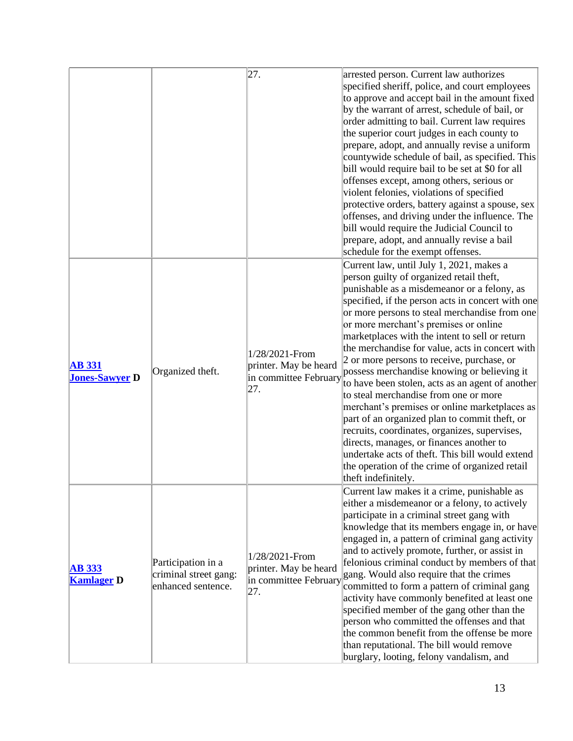|                                        |                                                                   | 27.                                                                     | arrested person. Current law authorizes<br>specified sheriff, police, and court employees<br>to approve and accept bail in the amount fixed<br>by the warrant of arrest, schedule of bail, or<br>order admitting to bail. Current law requires<br>the superior court judges in each county to<br>prepare, adopt, and annually revise a uniform<br>countywide schedule of bail, as specified. This<br>bill would require bail to be set at \$0 for all<br>offenses except, among others, serious or<br>violent felonies, violations of specified<br>protective orders, battery against a spouse, sex<br>offenses, and driving under the influence. The<br>bill would require the Judicial Council to<br>prepare, adopt, and annually revise a bail<br>schedule for the exempt offenses.                                                                                                                       |
|----------------------------------------|-------------------------------------------------------------------|-------------------------------------------------------------------------|--------------------------------------------------------------------------------------------------------------------------------------------------------------------------------------------------------------------------------------------------------------------------------------------------------------------------------------------------------------------------------------------------------------------------------------------------------------------------------------------------------------------------------------------------------------------------------------------------------------------------------------------------------------------------------------------------------------------------------------------------------------------------------------------------------------------------------------------------------------------------------------------------------------|
| <b>AB</b> 331<br><b>Jones-Sawyer D</b> | Organized theft.                                                  | 1/28/2021-From<br>printer. May be heard<br>in committee February<br>27. | Current law, until July 1, 2021, makes a<br>person guilty of organized retail theft,<br>punishable as a misdemeanor or a felony, as<br>specified, if the person acts in concert with one<br>or more persons to steal merchandise from one<br>or more merchant's premises or online<br>marketplaces with the intent to sell or return<br>the merchandise for value, acts in concert with<br>2 or more persons to receive, purchase, or<br>possess merchandise knowing or believing it<br>to have been stolen, acts as an agent of another<br>to steal merchandise from one or more<br>merchant's premises or online marketplaces as<br>part of an organized plan to commit theft, or<br>recruits, coordinates, organizes, supervises,<br>directs, manages, or finances another to<br>undertake acts of theft. This bill would extend<br>the operation of the crime of organized retail<br>theft indefinitely. |
| <b>AB 333</b><br><b>Kamlager D</b>     | Participation in a<br>criminal street gang:<br>enhanced sentence. | 1/28/2021-From<br>printer. May be heard<br>in committee February<br>27. | Current law makes it a crime, punishable as<br>either a misdemeanor or a felony, to actively<br>participate in a criminal street gang with<br>knowledge that its members engage in, or have<br>engaged in, a pattern of criminal gang activity<br>and to actively promote, further, or assist in<br>felonious criminal conduct by members of that<br>gang. Would also require that the crimes<br>committed to form a pattern of criminal gang<br>activity have commonly benefited at least one<br>specified member of the gang other than the<br>person who committed the offenses and that<br>the common benefit from the offense be more<br>than reputational. The bill would remove<br>burglary, looting, felony vandalism, and                                                                                                                                                                           |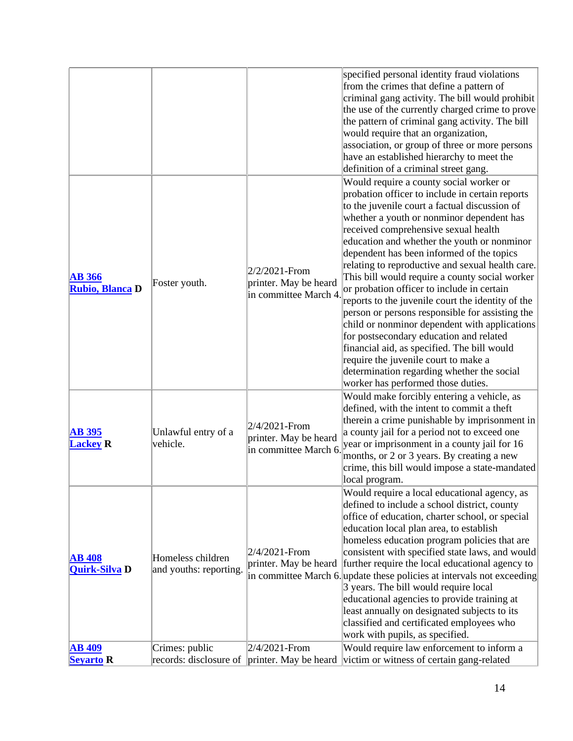|                                       |                                             |                                                                 | specified personal identity fraud violations<br>from the crimes that define a pattern of<br>criminal gang activity. The bill would prohibit<br>the use of the currently charged crime to prove<br>the pattern of criminal gang activity. The bill<br>would require that an organization,<br>association, or group of three or more persons<br>have an established hierarchy to meet the<br>definition of a criminal street gang.                                                                                                                                                                                                                                                                                                                                                                                                                                |
|---------------------------------------|---------------------------------------------|-----------------------------------------------------------------|-----------------------------------------------------------------------------------------------------------------------------------------------------------------------------------------------------------------------------------------------------------------------------------------------------------------------------------------------------------------------------------------------------------------------------------------------------------------------------------------------------------------------------------------------------------------------------------------------------------------------------------------------------------------------------------------------------------------------------------------------------------------------------------------------------------------------------------------------------------------|
| <b>AB 366</b><br>Rubio, Blanca D      | Foster youth.                               | 2/2/2021-From<br>printer. May be heard<br>in committee March 4. | Would require a county social worker or<br>probation officer to include in certain reports<br>to the juvenile court a factual discussion of<br>whether a youth or nonminor dependent has<br>received comprehensive sexual health<br>education and whether the youth or nonminor<br>dependent has been informed of the topics<br>relating to reproductive and sexual health care.<br>This bill would require a county social worker<br>or probation officer to include in certain<br>reports to the juvenile court the identity of the<br>person or persons responsible for assisting the<br>child or nonminor dependent with applications<br>for postsecondary education and related<br>financial aid, as specified. The bill would<br>require the juvenile court to make a<br>determination regarding whether the social<br>worker has performed those duties. |
| <b>AB 395</b><br><b>Lackey R</b>      | Unlawful entry of a<br>vehicle.             | 2/4/2021-From<br>printer. May be heard<br>in committee March 6. | Would make forcibly entering a vehicle, as<br>defined, with the intent to commit a theft<br>therein a crime punishable by imprisonment in<br>a county jail for a period not to exceed one<br>year or imprisonment in a county jail for 16<br>months, or 2 or 3 years. By creating a new<br>crime, this bill would impose a state-mandated<br>local program.                                                                                                                                                                                                                                                                                                                                                                                                                                                                                                     |
| <b>AB 408</b><br><b>Quirk-Silva D</b> | Homeless children<br>and youths: reporting. | 2/4/2021-From<br>printer. May be heard                          | Would require a local educational agency, as<br>defined to include a school district, county<br>office of education, charter school, or special<br>education local plan area, to establish<br>homeless education program policies that are<br>consistent with specified state laws, and would<br>further require the local educational agency to<br>in committee March 6. update these policies at intervals not exceeding<br>3 years. The bill would require local<br>educational agencies to provide training at<br>least annually on designated subjects to its<br>classified and certificated employees who<br>work with pupils, as specified.                                                                                                                                                                                                              |
| <b>AB 409</b>                         | Crimes: public                              | 2/4/2021-From                                                   | Would require law enforcement to inform a                                                                                                                                                                                                                                                                                                                                                                                                                                                                                                                                                                                                                                                                                                                                                                                                                       |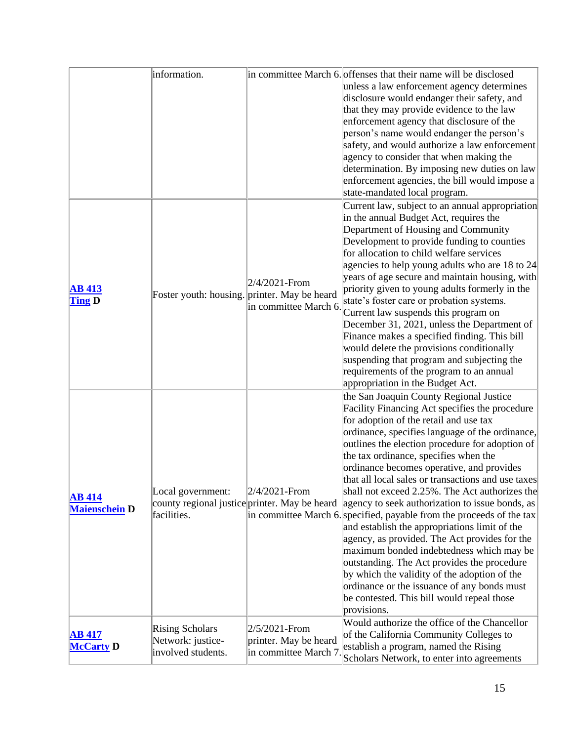|                      | information.                                 |                                                | in committee March 6. offenses that their name will be disclosed                              |
|----------------------|----------------------------------------------|------------------------------------------------|-----------------------------------------------------------------------------------------------|
|                      |                                              |                                                | unless a law enforcement agency determines                                                    |
|                      |                                              |                                                | disclosure would endanger their safety, and                                                   |
|                      |                                              |                                                | that they may provide evidence to the law                                                     |
|                      |                                              |                                                | enforcement agency that disclosure of the                                                     |
|                      |                                              |                                                | person's name would endanger the person's                                                     |
|                      |                                              |                                                | safety, and would authorize a law enforcement                                                 |
|                      |                                              |                                                | agency to consider that when making the                                                       |
|                      |                                              |                                                | determination. By imposing new duties on law                                                  |
|                      |                                              |                                                | enforcement agencies, the bill would impose a                                                 |
|                      |                                              |                                                | state-mandated local program.                                                                 |
|                      |                                              |                                                | Current law, subject to an annual appropriation                                               |
|                      |                                              |                                                | in the annual Budget Act, requires the                                                        |
|                      |                                              |                                                | Department of Housing and Community                                                           |
|                      |                                              |                                                | Development to provide funding to counties                                                    |
|                      |                                              |                                                | for allocation to child welfare services                                                      |
|                      |                                              |                                                | agencies to help young adults who are 18 to 24                                                |
|                      |                                              |                                                | years of age secure and maintain housing, with                                                |
| <b>AB 413</b>        |                                              | $2/4/2021$ -From                               | priority given to young adults formerly in the                                                |
| <b>Ting D</b>        | Foster youth: housing. printer. May be heard |                                                | state's foster care or probation systems.                                                     |
|                      |                                              | in committee March 6.                          | Current law suspends this program on                                                          |
|                      |                                              |                                                | December 31, 2021, unless the Department of                                                   |
|                      |                                              |                                                | Finance makes a specified finding. This bill                                                  |
|                      |                                              |                                                | would delete the provisions conditionally                                                     |
|                      |                                              |                                                | suspending that program and subjecting the                                                    |
|                      |                                              |                                                | requirements of the program to an annual                                                      |
|                      |                                              |                                                | appropriation in the Budget Act.                                                              |
|                      |                                              |                                                | the San Joaquin County Regional Justice                                                       |
|                      |                                              |                                                | Facility Financing Act specifies the procedure                                                |
|                      |                                              |                                                | for adoption of the retail and use tax                                                        |
|                      |                                              |                                                | ordinance, specifies language of the ordinance,                                               |
|                      |                                              |                                                | outlines the election procedure for adoption of                                               |
|                      |                                              |                                                | the tax ordinance, specifies when the                                                         |
|                      |                                              |                                                | ordinance becomes operative, and provides                                                     |
|                      |                                              |                                                | that all local sales or transactions and use taxes                                            |
|                      | Local government:                            | $2/4/2021$ -From                               | shall not exceed 2.25%. The Act authorizes the                                                |
| <b>AB</b> 414        |                                              |                                                | county regional justice printer. May be heard agency to seek authorization to issue bonds, as |
| <b>Maienschein D</b> | facilities.                                  |                                                | in committee March 6. specified, payable from the proceeds of the tax                         |
|                      |                                              |                                                | and establish the appropriations limit of the                                                 |
|                      |                                              |                                                | agency, as provided. The Act provides for the                                                 |
|                      |                                              |                                                | maximum bonded indebtedness which may be                                                      |
|                      |                                              |                                                | outstanding. The Act provides the procedure                                                   |
|                      |                                              |                                                | by which the validity of the adoption of the                                                  |
|                      |                                              |                                                | ordinance or the issuance of any bonds must                                                   |
|                      |                                              |                                                | be contested. This bill would repeal those                                                    |
|                      |                                              |                                                | provisions.                                                                                   |
|                      |                                              |                                                | Would authorize the office of the Chancellor                                                  |
| <b>AB 417</b>        | <b>Rising Scholars</b>                       | $2/5/2021$ -From                               | of the California Community Colleges to                                                       |
| <b>McCarty D</b>     | Network: justice-<br>involved students.      | printer. May be heard<br>in committee March 7. | establish a program, named the Rising                                                         |
|                      |                                              |                                                | Scholars Network, to enter into agreements                                                    |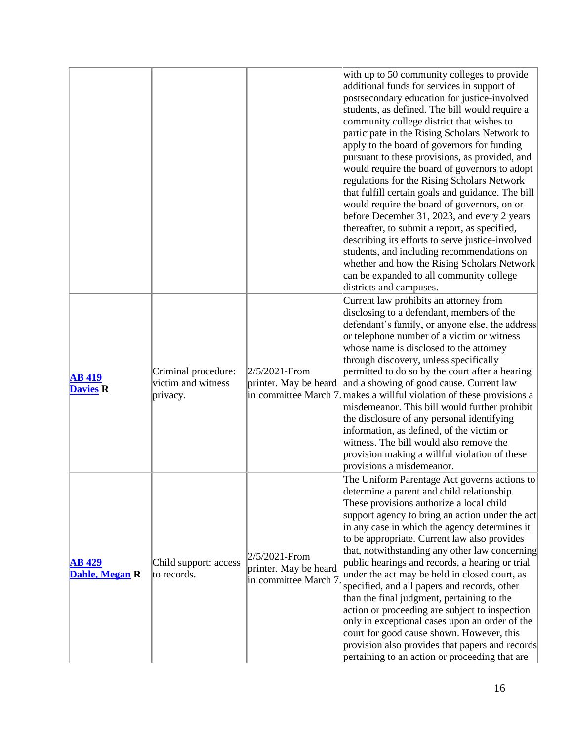|                                  |                                                       |                                                                 | with up to 50 community colleges to provide<br>additional funds for services in support of<br>postsecondary education for justice-involved<br>students, as defined. The bill would require a<br>community college district that wishes to<br>participate in the Rising Scholars Network to<br>apply to the board of governors for funding<br>pursuant to these provisions, as provided, and<br>would require the board of governors to adopt<br>regulations for the Rising Scholars Network<br>that fulfill certain goals and guidance. The bill<br>would require the board of governors, on or<br>before December 31, 2023, and every 2 years<br>thereafter, to submit a report, as specified,<br>describing its efforts to serve justice-involved<br>students, and including recommendations on<br>whether and how the Rising Scholars Network<br>can be expanded to all community college<br>districts and campuses. |
|----------------------------------|-------------------------------------------------------|-----------------------------------------------------------------|-------------------------------------------------------------------------------------------------------------------------------------------------------------------------------------------------------------------------------------------------------------------------------------------------------------------------------------------------------------------------------------------------------------------------------------------------------------------------------------------------------------------------------------------------------------------------------------------------------------------------------------------------------------------------------------------------------------------------------------------------------------------------------------------------------------------------------------------------------------------------------------------------------------------------|
| <b>AB</b> 419<br><b>Davies R</b> | Criminal procedure:<br>victim and witness<br>privacy. | 2/5/2021-From                                                   | Current law prohibits an attorney from<br>disclosing to a defendant, members of the<br>defendant's family, or anyone else, the address<br>or telephone number of a victim or witness<br>whose name is disclosed to the attorney<br>through discovery, unless specifically<br>permitted to do so by the court after a hearing<br>printer. May be heard and a showing of good cause. Current law<br>in committee March 7. makes a willful violation of these provisions a<br>misdemeanor. This bill would further prohibit<br>the disclosure of any personal identifying<br>information, as defined, of the victim or<br>witness. The bill would also remove the<br>provision making a willful violation of these<br>provisions a misdemeanor.                                                                                                                                                                            |
| <b>AB 429</b><br>Dahle, Megan R  | Child support: access<br>to records.                  | 2/5/2021-From<br>printer. May be heard<br>in committee March 7. | The Uniform Parentage Act governs actions to<br>determine a parent and child relationship.<br>These provisions authorize a local child<br>support agency to bring an action under the act<br>in any case in which the agency determines it<br>to be appropriate. Current law also provides<br>that, notwithstanding any other law concerning<br>public hearings and records, a hearing or trial<br>under the act may be held in closed court, as<br>specified, and all papers and records, other<br>than the final judgment, pertaining to the<br>action or proceeding are subject to inspection<br>only in exceptional cases upon an order of the<br>court for good cause shown. However, this<br>provision also provides that papers and records<br>pertaining to an action or proceeding that are                                                                                                                    |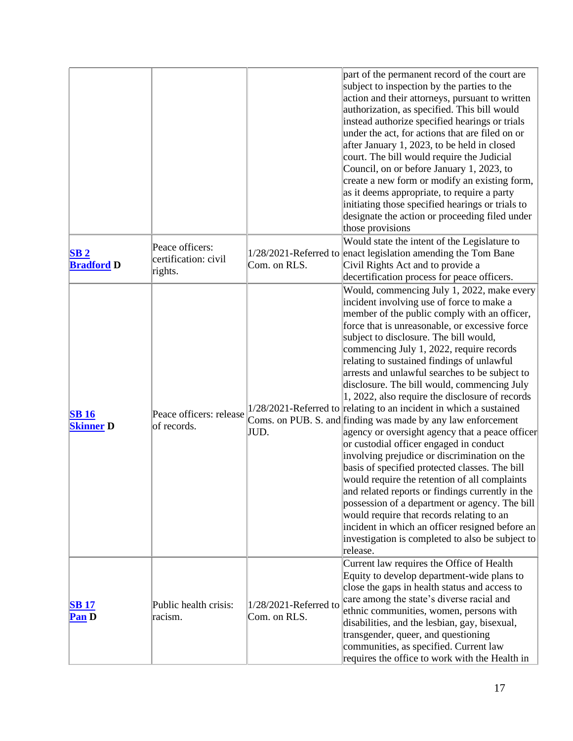|                                      |                                                    |                                       | part of the permanent record of the court are<br>subject to inspection by the parties to the<br>action and their attorneys, pursuant to written<br>authorization, as specified. This bill would<br>instead authorize specified hearings or trials<br>under the act, for actions that are filed on or<br>after January 1, 2023, to be held in closed<br>court. The bill would require the Judicial<br>Council, on or before January 1, 2023, to<br>create a new form or modify an existing form,<br>as it deems appropriate, to require a party<br>initiating those specified hearings or trials to<br>designate the action or proceeding filed under<br>those provisions                                                                                                                                                                                                                                                                                                                                                                                                                                                                          |
|--------------------------------------|----------------------------------------------------|---------------------------------------|---------------------------------------------------------------------------------------------------------------------------------------------------------------------------------------------------------------------------------------------------------------------------------------------------------------------------------------------------------------------------------------------------------------------------------------------------------------------------------------------------------------------------------------------------------------------------------------------------------------------------------------------------------------------------------------------------------------------------------------------------------------------------------------------------------------------------------------------------------------------------------------------------------------------------------------------------------------------------------------------------------------------------------------------------------------------------------------------------------------------------------------------------|
| SB <sub>2</sub><br><b>Bradford D</b> | Peace officers:<br>certification: civil<br>rights. | Com. on RLS.                          | Would state the intent of the Legislature to<br>1/28/2021-Referred to enact legislation amending the Tom Bane<br>Civil Rights Act and to provide a<br>decertification process for peace officers.                                                                                                                                                                                                                                                                                                                                                                                                                                                                                                                                                                                                                                                                                                                                                                                                                                                                                                                                                 |
| <b>SB16</b><br><b>Skinner D</b>      | Peace officers: release<br>of records.             | JUD.                                  | Would, commencing July 1, 2022, make every<br>incident involving use of force to make a<br>member of the public comply with an officer,<br>force that is unreasonable, or excessive force<br>subject to disclosure. The bill would,<br>commencing July 1, 2022, require records<br>relating to sustained findings of unlawful<br>arrests and unlawful searches to be subject to<br>disclosure. The bill would, commencing July<br>1, 2022, also require the disclosure of records<br>$1/28/2021$ -Referred to relating to an incident in which a sustained<br>Coms. on PUB. S. and finding was made by any law enforcement<br>agency or oversight agency that a peace officer<br>or custodial officer engaged in conduct<br>involving prejudice or discrimination on the<br>basis of specified protected classes. The bill<br>would require the retention of all complaints<br>and related reports or findings currently in the<br>possession of a department or agency. The bill<br>would require that records relating to an<br>incident in which an officer resigned before an<br>investigation is completed to also be subject to<br>release. |
| <b>SB 17</b><br>Pan D                | Public health crisis:<br>racism.                   | 1/28/2021-Referred to<br>Com. on RLS. | Current law requires the Office of Health<br>Equity to develop department-wide plans to<br>close the gaps in health status and access to<br>care among the state's diverse racial and<br>ethnic communities, women, persons with<br>disabilities, and the lesbian, gay, bisexual,<br>transgender, queer, and questioning<br>communities, as specified. Current law<br>requires the office to work with the Health in                                                                                                                                                                                                                                                                                                                                                                                                                                                                                                                                                                                                                                                                                                                              |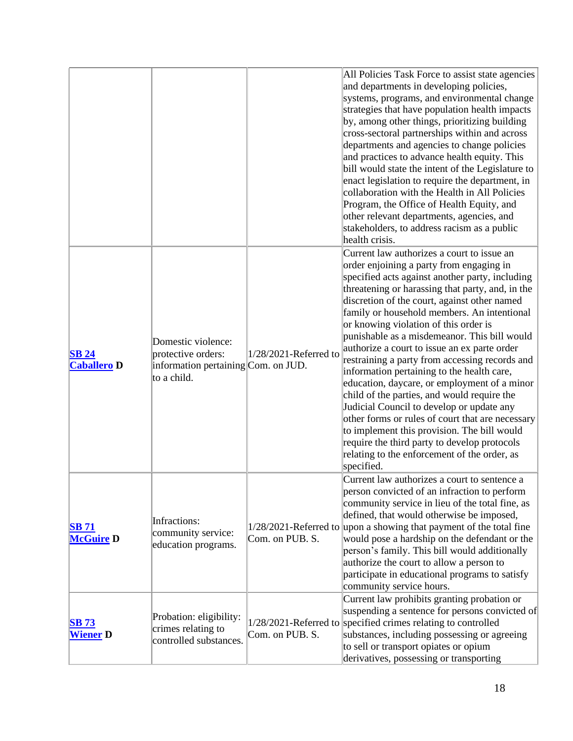|                                    |                                                                                                |                       | All Policies Task Force to assist state agencies<br>and departments in developing policies,<br>systems, programs, and environmental change<br>strategies that have population health impacts<br>by, among other things, prioritizing building<br>cross-sectoral partnerships within and across<br>departments and agencies to change policies<br>and practices to advance health equity. This<br>bill would state the intent of the Legislature to<br>enact legislation to require the department, in<br>collaboration with the Health in All Policies<br>Program, the Office of Health Equity, and<br>other relevant departments, agencies, and<br>stakeholders, to address racism as a public<br>health crisis.                                                                                                                                                                                  |
|------------------------------------|------------------------------------------------------------------------------------------------|-----------------------|----------------------------------------------------------------------------------------------------------------------------------------------------------------------------------------------------------------------------------------------------------------------------------------------------------------------------------------------------------------------------------------------------------------------------------------------------------------------------------------------------------------------------------------------------------------------------------------------------------------------------------------------------------------------------------------------------------------------------------------------------------------------------------------------------------------------------------------------------------------------------------------------------|
| <b>SB 24</b><br><b>Caballero D</b> | Domestic violence:<br>protective orders:<br>information pertaining Com. on JUD.<br>to a child. | 1/28/2021-Referred to | Current law authorizes a court to issue an<br>order enjoining a party from engaging in<br>specified acts against another party, including<br>threatening or harassing that party, and, in the<br>discretion of the court, against other named<br>family or household members. An intentional<br>or knowing violation of this order is<br>punishable as a misdemeanor. This bill would<br>authorize a court to issue an ex parte order<br>restraining a party from accessing records and<br>information pertaining to the health care,<br>education, daycare, or employment of a minor<br>child of the parties, and would require the<br>Judicial Council to develop or update any<br>other forms or rules of court that are necessary<br>to implement this provision. The bill would<br>require the third party to develop protocols<br>relating to the enforcement of the order, as<br>specified. |
| <b>SB 71</b><br><b>McGuire D</b>   | Infractions:<br>community service:<br>education programs.                                      | Com. on PUB. S.       | Current law authorizes a court to sentence a<br>person convicted of an infraction to perform<br>community service in lieu of the total fine, as<br>defined, that would otherwise be imposed,<br>1/28/2021-Referred to upon a showing that payment of the total fine<br>would pose a hardship on the defendant or the<br>person's family. This bill would additionally<br>authorize the court to allow a person to<br>participate in educational programs to satisfy<br>community service hours.                                                                                                                                                                                                                                                                                                                                                                                                    |
| <b>SB 73</b><br><b>Wiener</b> D    | Probation: eligibility:<br>crimes relating to<br>controlled substances.                        | Com. on PUB. S.       | Current law prohibits granting probation or<br>suspending a sentence for persons convicted of<br>1/28/2021-Referred to specified crimes relating to controlled<br>substances, including possessing or agreeing<br>to sell or transport opiates or opium<br>derivatives, possessing or transporting                                                                                                                                                                                                                                                                                                                                                                                                                                                                                                                                                                                                 |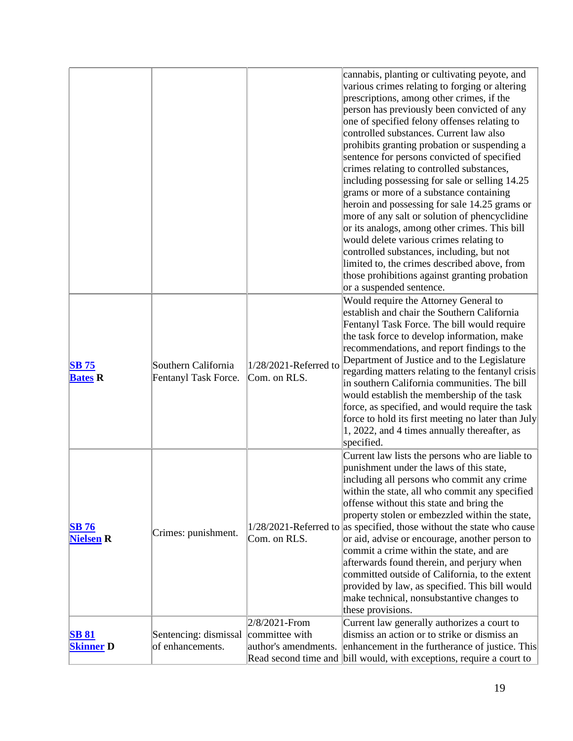|                                  |                                             |                                                         | cannabis, planting or cultivating peyote, and<br>various crimes relating to forging or altering<br>prescriptions, among other crimes, if the<br>person has previously been convicted of any<br>one of specified felony offenses relating to<br>controlled substances. Current law also<br>prohibits granting probation or suspending a<br>sentence for persons convicted of specified<br>crimes relating to controlled substances,<br>including possessing for sale or selling 14.25<br>grams or more of a substance containing<br>heroin and possessing for sale 14.25 grams or<br>more of any salt or solution of phencyclidine<br>or its analogs, among other crimes. This bill<br>would delete various crimes relating to<br>controlled substances, including, but not<br>limited to, the crimes described above, from<br>those prohibitions against granting probation<br>or a suspended sentence. |
|----------------------------------|---------------------------------------------|---------------------------------------------------------|---------------------------------------------------------------------------------------------------------------------------------------------------------------------------------------------------------------------------------------------------------------------------------------------------------------------------------------------------------------------------------------------------------------------------------------------------------------------------------------------------------------------------------------------------------------------------------------------------------------------------------------------------------------------------------------------------------------------------------------------------------------------------------------------------------------------------------------------------------------------------------------------------------|
| <b>SB 75</b><br><b>Bates R</b>   | Southern California<br>Fentanyl Task Force. | 1/28/2021-Referred to<br>Com. on RLS.                   | Would require the Attorney General to<br>establish and chair the Southern California<br>Fentanyl Task Force. The bill would require<br>the task force to develop information, make<br>recommendations, and report findings to the<br>Department of Justice and to the Legislature<br>regarding matters relating to the fentanyl crisis<br>in southern California communities. The bill<br>would establish the membership of the task<br>force, as specified, and would require the task<br>force to hold its first meeting no later than July<br>1, 2022, and 4 times annually thereafter, as<br>specified.                                                                                                                                                                                                                                                                                             |
| <b>SB 76</b><br><b>Nielsen R</b> | Crimes: punishment.                         | Com. on RLS.                                            | Current law lists the persons who are liable to<br>punishment under the laws of this state,<br>including all persons who commit any crime<br>within the state, all who commit any specified<br>offense without this state and bring the<br>property stolen or embezzled within the state,<br>$1/28/2021$ -Referred to as specified, those without the state who cause<br>or aid, advise or encourage, another person to<br>commit a crime within the state, and are<br>afterwards found therein, and perjury when<br>committed outside of California, to the extent<br>provided by law, as specified. This bill would<br>make technical, nonsubstantive changes to<br>these provisions.                                                                                                                                                                                                                 |
| <b>SB 81</b><br><b>Skinner D</b> | Sentencing: dismissal<br>of enhancements.   | 2/8/2021-From<br>committee with<br>author's amendments. | Current law generally authorizes a court to<br>dismiss an action or to strike or dismiss an<br>enhancement in the furtherance of justice. This<br>Read second time and bill would, with exceptions, require a court to                                                                                                                                                                                                                                                                                                                                                                                                                                                                                                                                                                                                                                                                                  |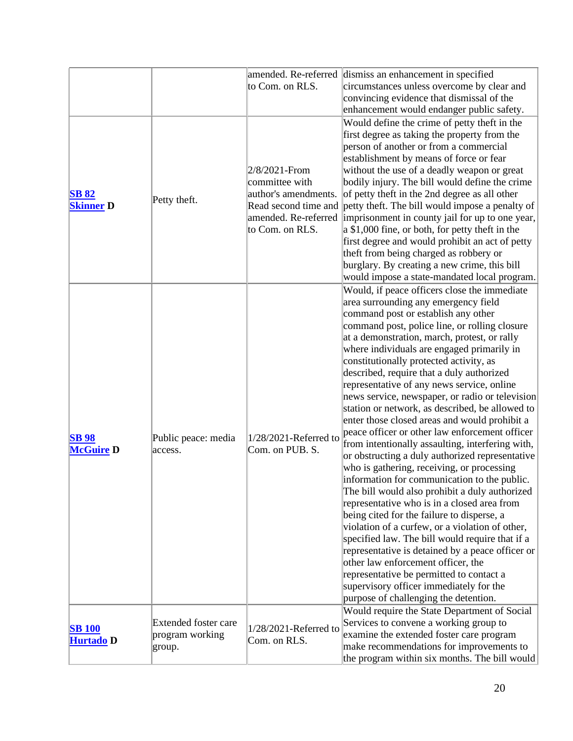|                  |                                | amended. Re-referred                     | dismiss an enhancement in specified                                    |
|------------------|--------------------------------|------------------------------------------|------------------------------------------------------------------------|
|                  |                                | to Com. on RLS.                          | circumstances unless overcome by clear and                             |
|                  |                                |                                          | convincing evidence that dismissal of the                              |
|                  |                                |                                          | enhancement would endanger public safety.                              |
|                  |                                |                                          | Would define the crime of petty theft in the                           |
|                  |                                |                                          | first degree as taking the property from the                           |
|                  |                                |                                          | person of another or from a commercial                                 |
|                  |                                |                                          | establishment by means of force or fear                                |
|                  |                                | 2/8/2021-From                            | without the use of a deadly weapon or great                            |
|                  |                                | committee with                           | bodily injury. The bill would define the crime                         |
| <b>SB 82</b>     |                                | author's amendments.                     | of petty theft in the 2nd degree as all other                          |
| <b>Skinner D</b> | Petty theft.                   |                                          | Read second time and petty theft. The bill would impose a penalty of   |
|                  |                                |                                          | amended. Re-referred   imprisonment in county jail for up to one year, |
|                  |                                | to Com. on RLS.                          | $\alpha$ \$1,000 fine, or both, for petty theft in the                 |
|                  |                                |                                          | first degree and would prohibit an act of petty                        |
|                  |                                |                                          | theft from being charged as robbery or                                 |
|                  |                                |                                          | burglary. By creating a new crime, this bill                           |
|                  |                                |                                          | would impose a state-mandated local program.                           |
|                  |                                |                                          | Would, if peace officers close the immediate                           |
|                  |                                |                                          | area surrounding any emergency field                                   |
|                  |                                |                                          | command post or establish any other                                    |
|                  |                                |                                          | command post, police line, or rolling closure                          |
|                  |                                |                                          | at a demonstration, march, protest, or rally                           |
|                  |                                |                                          | where individuals are engaged primarily in                             |
|                  |                                |                                          | constitutionally protected activity, as                                |
|                  |                                |                                          | described, require that a duly authorized                              |
|                  |                                |                                          | representative of any news service, online                             |
|                  |                                |                                          | news service, newspaper, or radio or television                        |
|                  |                                |                                          | station or network, as described, be allowed to                        |
|                  |                                | 1/28/2021-Referred to<br>Com. on PUB. S. | enter those closed areas and would prohibit a                          |
| <b>SB98</b>      | Public peace: media<br>access. |                                          | peace officer or other law enforcement officer                         |
| <b>McGuire D</b> |                                |                                          | from intentionally assaulting, interfering with,                       |
|                  |                                |                                          | or obstructing a duly authorized representative                        |
|                  |                                |                                          | who is gathering, receiving, or processing                             |
|                  |                                |                                          | information for communication to the public.                           |
|                  |                                |                                          | The bill would also prohibit a duly authorized                         |
|                  |                                |                                          | representative who is in a closed area from                            |
|                  |                                |                                          | being cited for the failure to disperse, a                             |
|                  |                                |                                          | violation of a curfew, or a violation of other,                        |
|                  |                                |                                          | specified law. The bill would require that if a                        |
|                  |                                |                                          | representative is detained by a peace officer or                       |
|                  |                                |                                          | other law enforcement officer, the                                     |
|                  |                                |                                          | representative be permitted to contact a                               |
|                  |                                |                                          | supervisory officer immediately for the                                |
|                  |                                |                                          | purpose of challenging the detention.                                  |
|                  |                                |                                          | Would require the State Department of Social                           |
| <b>SB 100</b>    | Extended foster care           | 1/28/2021-Referred to                    | Services to convene a working group to                                 |
| Hurtado D        | program working<br>group.      | Com. on RLS.                             | examine the extended foster care program                               |
|                  |                                |                                          | make recommendations for improvements to                               |
|                  |                                |                                          | the program within six months. The bill would                          |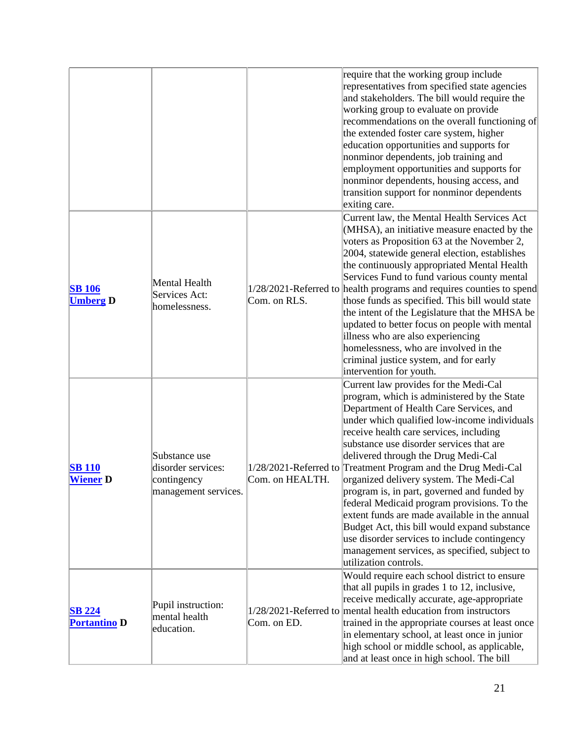|                                      |                                                                            |                 | require that the working group include<br>representatives from specified state agencies<br>and stakeholders. The bill would require the<br>working group to evaluate on provide<br>recommendations on the overall functioning of<br>the extended foster care system, higher<br>education opportunities and supports for<br>nonminor dependents, job training and<br>employment opportunities and supports for<br>nonminor dependents, housing access, and<br>transition support for nonminor dependents<br>exiting care.                                                                                                                                                                                                                           |
|--------------------------------------|----------------------------------------------------------------------------|-----------------|----------------------------------------------------------------------------------------------------------------------------------------------------------------------------------------------------------------------------------------------------------------------------------------------------------------------------------------------------------------------------------------------------------------------------------------------------------------------------------------------------------------------------------------------------------------------------------------------------------------------------------------------------------------------------------------------------------------------------------------------------|
| <b>SB</b> 106<br><b>Umberg D</b>     | Mental Health<br>Services Act:<br>homelessness.                            | Com. on RLS.    | Current law, the Mental Health Services Act<br>(MHSA), an initiative measure enacted by the<br>voters as Proposition 63 at the November 2,<br>2004, statewide general election, establishes<br>the continuously appropriated Mental Health<br>Services Fund to fund various county mental<br>1/28/2021-Referred to health programs and requires counties to spend<br>those funds as specified. This bill would state<br>the intent of the Legislature that the MHSA be<br>updated to better focus on people with mental<br>illness who are also experiencing<br>homelessness, who are involved in the<br>criminal justice system, and for early<br>intervention for youth.                                                                         |
| <b>SB</b> 110<br><b>Wiener D</b>     | Substance use<br>disorder services:<br>contingency<br>management services. | Com. on HEALTH. | Current law provides for the Medi-Cal<br>program, which is administered by the State<br>Department of Health Care Services, and<br>under which qualified low-income individuals<br>receive health care services, including<br>substance use disorder services that are<br>delivered through the Drug Medi-Cal<br>1/28/2021-Referred to Treatment Program and the Drug Medi-Cal<br>organized delivery system. The Medi-Cal<br>program is, in part, governed and funded by<br>federal Medicaid program provisions. To the<br>extent funds are made available in the annual<br>Budget Act, this bill would expand substance<br>use disorder services to include contingency<br>management services, as specified, subject to<br>utilization controls. |
| <b>SB 224</b><br><b>Portantino D</b> | Pupil instruction:<br>mental health<br>education.                          | Com. on ED.     | Would require each school district to ensure<br>that all pupils in grades 1 to 12, inclusive,<br>receive medically accurate, age-appropriate<br>1/28/2021-Referred to mental health education from instructors<br>trained in the appropriate courses at least once<br>in elementary school, at least once in junior<br>high school or middle school, as applicable,<br>and at least once in high school. The bill                                                                                                                                                                                                                                                                                                                                  |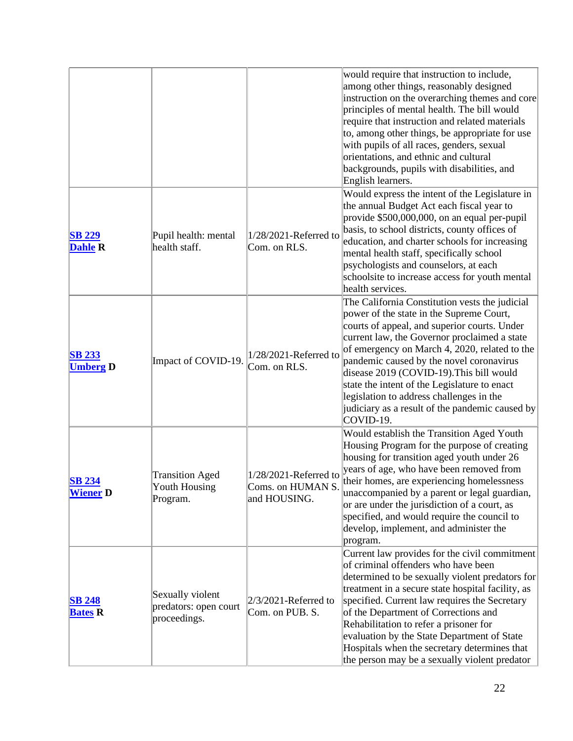|                                  |                                                           |                                                            | would require that instruction to include,<br>among other things, reasonably designed<br>instruction on the overarching themes and core<br>principles of mental health. The bill would<br>require that instruction and related materials<br>to, among other things, be appropriate for use<br>with pupils of all races, genders, sexual<br>orientations, and ethnic and cultural<br>backgrounds, pupils with disabilities, and<br>English learners.                                             |
|----------------------------------|-----------------------------------------------------------|------------------------------------------------------------|-------------------------------------------------------------------------------------------------------------------------------------------------------------------------------------------------------------------------------------------------------------------------------------------------------------------------------------------------------------------------------------------------------------------------------------------------------------------------------------------------|
| <b>SB 229</b><br><b>Dahle R</b>  | Pupil health: mental<br>health staff.                     | $1/28/2021$ -Referred to<br>Com. on RLS.                   | Would express the intent of the Legislature in<br>the annual Budget Act each fiscal year to<br>provide \$500,000,000, on an equal per-pupil<br>basis, to school districts, county offices of<br>education, and charter schools for increasing<br>mental health staff, specifically school<br>psychologists and counselors, at each<br>schoolsite to increase access for youth mental<br>health services.                                                                                        |
| <b>SB 233</b><br><b>Umberg D</b> | Impact of COVID-19.                                       | 1/28/2021-Referred to<br>Com. on RLS.                      | The California Constitution vests the judicial<br>power of the state in the Supreme Court,<br>courts of appeal, and superior courts. Under<br>current law, the Governor proclaimed a state<br>of emergency on March 4, 2020, related to the<br>pandemic caused by the novel coronavirus<br>disease 2019 (COVID-19). This bill would<br>state the intent of the Legislature to enact<br>legislation to address challenges in the<br>judiciary as a result of the pandemic caused by<br>COVID-19. |
| <b>SB 234</b><br><b>Wiener</b> D | <b>Transition Aged</b><br>Youth Housing<br>Program.       | 1/28/2021-Referred to<br>Coms. on HUMAN S.<br>and HOUSING. | Would establish the Transition Aged Youth<br>Housing Program for the purpose of creating<br>housing for transition aged youth under 26<br>years of age, who have been removed from<br>their homes, are experiencing homelessness<br>unaccompanied by a parent or legal guardian,<br>or are under the jurisdiction of a court, as<br>specified, and would require the council to<br>develop, implement, and administer the<br>program.                                                           |
| <b>SB 248</b><br><b>Bates R</b>  | Sexually violent<br>predators: open court<br>proceedings. | $2/3/2021$ -Referred to<br>Com. on PUB. S.                 | Current law provides for the civil commitment<br>of criminal offenders who have been<br>determined to be sexually violent predators for<br>treatment in a secure state hospital facility, as<br>specified. Current law requires the Secretary<br>of the Department of Corrections and<br>Rehabilitation to refer a prisoner for<br>evaluation by the State Department of State<br>Hospitals when the secretary determines that<br>the person may be a sexually violent predator                 |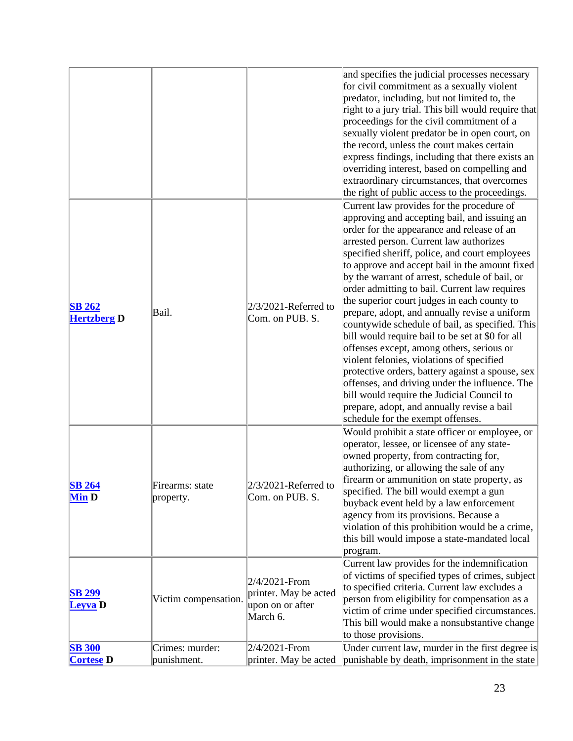|                                     |                                |                                                                        | and specifies the judicial processes necessary<br>for civil commitment as a sexually violent<br>predator, including, but not limited to, the<br>right to a jury trial. This bill would require that<br>proceedings for the civil commitment of a<br>sexually violent predator be in open court, on<br>the record, unless the court makes certain<br>express findings, including that there exists an<br>overriding interest, based on compelling and<br>extraordinary circumstances, that overcomes<br>the right of public access to the proceedings.                                                                                                                                                                                                                                                                                                                                                                             |
|-------------------------------------|--------------------------------|------------------------------------------------------------------------|-----------------------------------------------------------------------------------------------------------------------------------------------------------------------------------------------------------------------------------------------------------------------------------------------------------------------------------------------------------------------------------------------------------------------------------------------------------------------------------------------------------------------------------------------------------------------------------------------------------------------------------------------------------------------------------------------------------------------------------------------------------------------------------------------------------------------------------------------------------------------------------------------------------------------------------|
| <b>SB 262</b><br><b>Hertzberg D</b> | Bail.                          | $2/3/2021$ -Referred to<br>Com. on PUB. S.                             | Current law provides for the procedure of<br>approving and accepting bail, and issuing an<br>order for the appearance and release of an<br>arrested person. Current law authorizes<br>specified sheriff, police, and court employees<br>to approve and accept bail in the amount fixed<br>by the warrant of arrest, schedule of bail, or<br>order admitting to bail. Current law requires<br>the superior court judges in each county to<br>prepare, adopt, and annually revise a uniform<br>countywide schedule of bail, as specified. This<br>bill would require bail to be set at \$0 for all<br>offenses except, among others, serious or<br>violent felonies, violations of specified<br>protective orders, battery against a spouse, sex<br>offenses, and driving under the influence. The<br>bill would require the Judicial Council to<br>prepare, adopt, and annually revise a bail<br>schedule for the exempt offenses. |
| <b>SB 264</b><br><b>Min D</b>       | Firearms: state<br>property.   | $2/3/2021$ -Referred to<br>Com. on PUB. S.                             | Would prohibit a state officer or employee, or<br>operator, lessee, or licensee of any state-<br>owned property, from contracting for,<br>authorizing, or allowing the sale of any<br>firearm or ammunition on state property, as<br>specified. The bill would exempt a gun<br>buyback event held by a law enforcement<br>agency from its provisions. Because a<br>violation of this prohibition would be a crime,<br>this bill would impose a state-mandated local<br>program.                                                                                                                                                                                                                                                                                                                                                                                                                                                   |
| <b>SB 299</b><br>Leyva D            | Victim compensation.           | 2/4/2021-From<br>printer. May be acted<br>upon on or after<br>March 6. | Current law provides for the indemnification<br>of victims of specified types of crimes, subject<br>to specified criteria. Current law excludes a<br>person from eligibility for compensation as a<br>victim of crime under specified circumstances.<br>This bill would make a nonsubstantive change<br>to those provisions.                                                                                                                                                                                                                                                                                                                                                                                                                                                                                                                                                                                                      |
| <b>SB 300</b><br><b>Cortese</b> D   | Crimes: murder:<br>punishment. | 2/4/2021-From<br>printer. May be acted                                 | Under current law, murder in the first degree is<br>punishable by death, imprisonment in the state                                                                                                                                                                                                                                                                                                                                                                                                                                                                                                                                                                                                                                                                                                                                                                                                                                |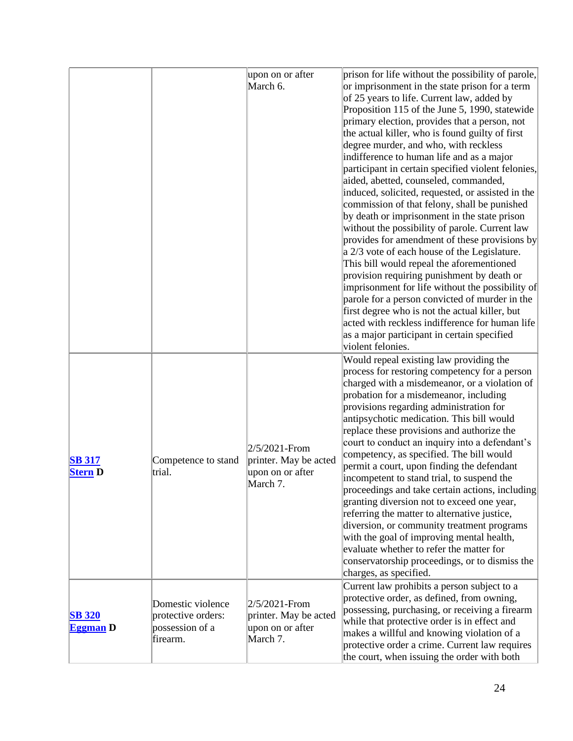|                                  |                                                                        | upon on or after                                                          | prison for life without the possibility of parole,                                                                                                                                                                                                                                                                                                                                                                                                                                                                                                                                                                                                                                                                                                                                                                                                                                                                                                                                                 |
|----------------------------------|------------------------------------------------------------------------|---------------------------------------------------------------------------|----------------------------------------------------------------------------------------------------------------------------------------------------------------------------------------------------------------------------------------------------------------------------------------------------------------------------------------------------------------------------------------------------------------------------------------------------------------------------------------------------------------------------------------------------------------------------------------------------------------------------------------------------------------------------------------------------------------------------------------------------------------------------------------------------------------------------------------------------------------------------------------------------------------------------------------------------------------------------------------------------|
|                                  |                                                                        | March 6.                                                                  | or imprisonment in the state prison for a term<br>of 25 years to life. Current law, added by<br>Proposition 115 of the June 5, 1990, statewide<br>primary election, provides that a person, not<br>the actual killer, who is found guilty of first<br>degree murder, and who, with reckless<br>indifference to human life and as a major<br>participant in certain specified violent felonies,<br>aided, abetted, counseled, commanded,<br>induced, solicited, requested, or assisted in the<br>commission of that felony, shall be punished<br>by death or imprisonment in the state prison<br>without the possibility of parole. Current law<br>provides for amendment of these provisions by<br>a 2/3 vote of each house of the Legislature.<br>This bill would repeal the aforementioned<br>provision requiring punishment by death or<br>imprisonment for life without the possibility of<br>parole for a person convicted of murder in the<br>first degree who is not the actual killer, but |
|                                  |                                                                        |                                                                           | acted with reckless indifference for human life<br>as a major participant in certain specified<br>violent felonies.<br>Would repeal existing law providing the                                                                                                                                                                                                                                                                                                                                                                                                                                                                                                                                                                                                                                                                                                                                                                                                                                     |
| <b>SB 317</b><br><b>Stern D</b>  | Competence to stand<br>trial.                                          | $2/5/2021$ -From<br>printer. May be acted<br>upon on or after<br>March 7. | process for restoring competency for a person<br>charged with a misdemeanor, or a violation of<br>probation for a misdemeanor, including<br>provisions regarding administration for<br>antipsychotic medication. This bill would<br>replace these provisions and authorize the<br>court to conduct an inquiry into a defendant's<br>competency, as specified. The bill would<br>permit a court, upon finding the defendant<br>incompetent to stand trial, to suspend the<br>proceedings and take certain actions, including<br>granting diversion not to exceed one year,<br>referring the matter to alternative justice,<br>diversion, or community treatment programs<br>with the goal of improving mental health,<br>evaluate whether to refer the matter for<br>conservatorship proceedings, or to dismiss the<br>charges, as specified.                                                                                                                                                       |
| <b>SB 320</b><br><b>Eggman</b> D | Domestic violence<br>protective orders:<br>possession of a<br>firearm. | 2/5/2021-From<br>printer. May be acted<br>upon on or after<br>March 7.    | Current law prohibits a person subject to a<br>protective order, as defined, from owning,<br>possessing, purchasing, or receiving a firearm<br>while that protective order is in effect and<br>makes a willful and knowing violation of a<br>protective order a crime. Current law requires<br>the court, when issuing the order with both                                                                                                                                                                                                                                                                                                                                                                                                                                                                                                                                                                                                                                                         |